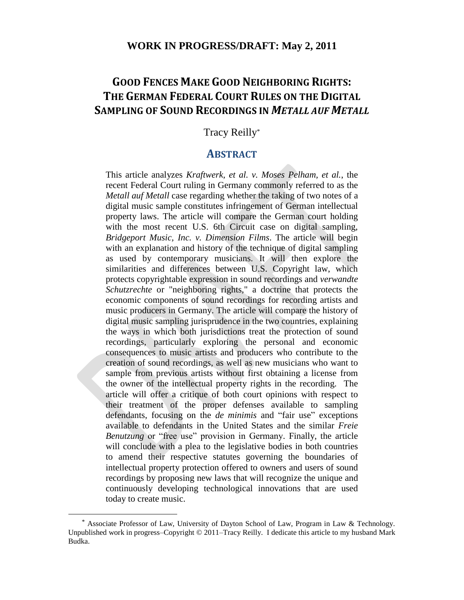# **GOOD FENCES MAKE GOOD NEIGHBORING RIGHTS: THE GERMAN FEDERAL COURT RULES ON THE DIGITAL SAMPLING OF SOUND RECORDINGS IN** *METALL AUF METALL*

## Tracy Reilly\*

## **ABSTRACT**

This article analyzes *Kraftwerk, et al. v. Moses Pelham, et al.*, the recent Federal Court ruling in Germany commonly referred to as the *Metall auf Metall* case regarding whether the taking of two notes of a digital music sample constitutes infringement of German intellectual property laws. The article will compare the German court holding with the most recent U.S. 6th Circuit case on digital sampling, *Bridgeport Music, Inc. v. Dimension Films*. The article will begin with an explanation and history of the technique of digital sampling as used by contemporary musicians. It will then explore the similarities and differences between U.S. Copyright law, which protects copyrightable expression in sound recordings and *verwandte Schutzrechte* or "neighboring rights," a doctrine that protects the economic components of sound recordings for recording artists and music producers in Germany. The article will compare the history of digital music sampling jurisprudence in the two countries, explaining the ways in which both jurisdictions treat the protection of sound recordings, particularly exploring the personal and economic consequences to music artists and producers who contribute to the creation of sound recordings, as well as new musicians who want to sample from previous artists without first obtaining a license from the owner of the intellectual property rights in the recording. The article will offer a critique of both court opinions with respect to their treatment of the proper defenses available to sampling defendants, focusing on the *de minimis* and "fair use" exceptions available to defendants in the United States and the similar *Freie Benutzung* or "free use" provision in Germany. Finally, the article will conclude with a plea to the legislative bodies in both countries to amend their respective statutes governing the boundaries of intellectual property protection offered to owners and users of sound recordings by proposing new laws that will recognize the unique and continuously developing technological innovations that are used today to create music.

<sup>\*</sup> Associate Professor of Law, University of Dayton School of Law, Program in Law & Technology. Unpublished work in progress–Copyright © 2011–Tracy Reilly. I dedicate this article to my husband Mark Budka.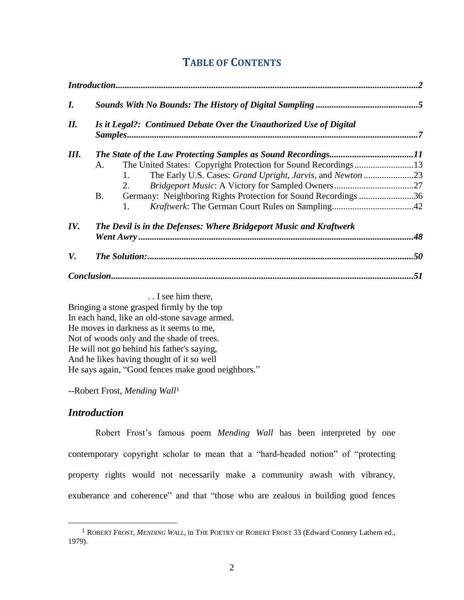|  |  | <b>TABLE OF CONTENTS</b> |
|--|--|--------------------------|
|--|--|--------------------------|

| I.  |    |                                                                     |  |
|-----|----|---------------------------------------------------------------------|--|
| II. |    | Is it Legal?: Continued Debate Over the Unauthorized Use of Digital |  |
| Ш.  |    |                                                                     |  |
|     | A. |                                                                     |  |
|     |    | The Early U.S. Cases: Grand Upright, Jarvis, and Newton 23          |  |
|     |    | 2.                                                                  |  |
|     | B. | Germany: Neighboring Rights Protection for Sound Recordings 36      |  |
|     |    | 1.                                                                  |  |
| IV. |    | The Devil is in the Defenses: Where Bridgeport Music and Kraftwerk  |  |
|     |    |                                                                     |  |
| V.  |    |                                                                     |  |
|     |    |                                                                     |  |
|     |    |                                                                     |  |

. . I see him there,

Bringing a stone grasped firmly by the top In each hand, like an old-stone savage armed. He moves in darkness as it seems to me, Not of woods only and the shade of trees. He will not go behind his father's saying, And he likes having thought of it so well He says again, "Good fences make good neighbors."

--Robert Frost, *Mending Wall*<sup>1</sup>

#### <span id="page-1-0"></span>*Introduction*

 $\overline{a}$ 

Robert Frost's famous poem *Mending Wall* has been interpreted by one contemporary copyright scholar to mean that a "hard-headed notion" of "protecting property rights would not necessarily make a community awash with vibrancy, exuberance and coherence" and that "those who are zealous in building good fences

<sup>1</sup> ROBERT FROST, *MENDING WALL*, in THE POETRY OF ROBERT FROST 33 (Edward Connery Lathem ed., 1979).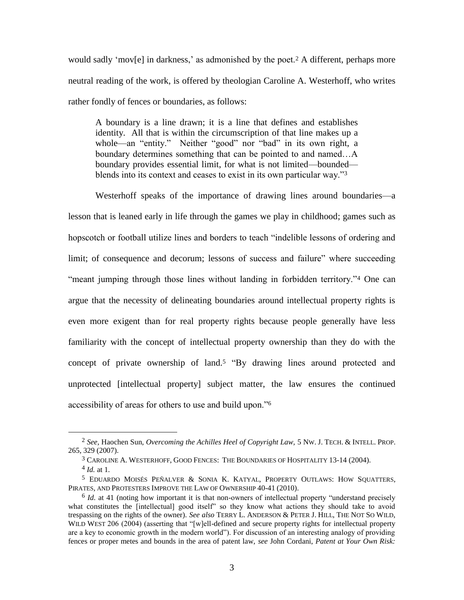would sadly 'mov[e] in darkness,' as admonished by the poet.<sup>2</sup> A different, perhaps more neutral reading of the work, is offered by theologian Caroline A. Westerhoff, who writes rather fondly of fences or boundaries, as follows:

A boundary is a line drawn; it is a line that defines and establishes identity. All that is within the circumscription of that line makes up a whole—an "entity." Neither "good" nor "bad" in its own right, a boundary determines something that can be pointed to and named…A boundary provides essential limit, for what is not limited—bounded blends into its context and ceases to exist in its own particular way."<sup>3</sup>

Westerhoff speaks of the importance of drawing lines around boundaries—a lesson that is leaned early in life through the games we play in childhood; games such as hopscotch or football utilize lines and borders to teach "indelible lessons of ordering and limit; of consequence and decorum; lessons of success and failure" where succeeding "meant jumping through those lines without landing in forbidden territory."<sup>4</sup> One can argue that the necessity of delineating boundaries around intellectual property rights is even more exigent than for real property rights because people generally have less familiarity with the concept of intellectual property ownership than they do with the concept of private ownership of land.<sup>5</sup> "By drawing lines around protected and unprotected [intellectual property] subject matter, the law ensures the continued accessibility of areas for others to use and build upon."<sup>6</sup>

<sup>2</sup> *See,* Haochen Sun, *Overcoming the Achilles Heel of Copyright Law,* 5 NW. J. TECH. & INTELL. PROP. 265, 329 (2007).

<sup>3</sup> CAROLINE A. WESTERHOFF, GOOD FENCES: THE BOUNDARIES OF HOSPITALITY 13-14 (2004).

<sup>4</sup> *Id.* at 1.

<sup>5</sup> EDUARDO MOISÉS PEÑALVER & SONIA K. KATYAL, PROPERTY OUTLAWS: HOW SQUATTERS, PIRATES, AND PROTESTERS IMPROVE THE LAW OF OWNERSHIP 40-41 (2010).

<sup>&</sup>lt;sup>6</sup> *Id.* at 41 (noting how important it is that non-owners of intellectual property "understand precisely what constitutes the [intellectual] good itself" so they know what actions they should take to avoid trespassing on the rights of the owner). *See also* TERRY L. ANDERSON & PETER J. HILL, THE NOT SO WILD, WILD WEST 206 (2004) (asserting that "[w]ell-defined and secure property rights for intellectual property are a key to economic growth in the modern world"). For discussion of an interesting analogy of providing fences or proper metes and bounds in the area of patent law, *see* John Cordani, *Patent at Your Own Risk:*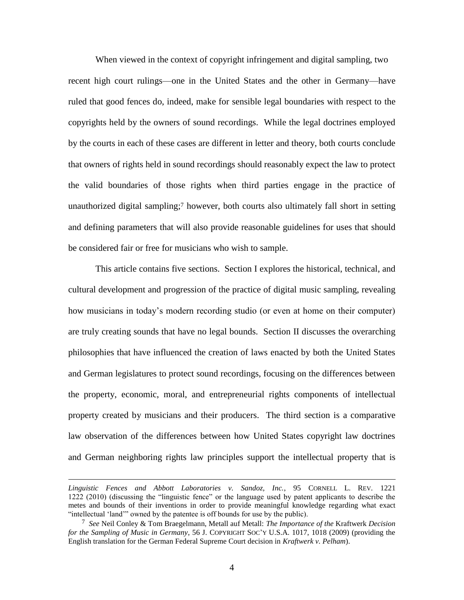When viewed in the context of copyright infringement and digital sampling, two recent high court rulings—one in the United States and the other in Germany—have ruled that good fences do, indeed, make for sensible legal boundaries with respect to the copyrights held by the owners of sound recordings. While the legal doctrines employed by the courts in each of these cases are different in letter and theory, both courts conclude that owners of rights held in sound recordings should reasonably expect the law to protect the valid boundaries of those rights when third parties engage in the practice of unauthorized digital sampling; <sup>7</sup> however, both courts also ultimately fall short in setting and defining parameters that will also provide reasonable guidelines for uses that should be considered fair or free for musicians who wish to sample.

This article contains five sections. Section I explores the historical, technical, and cultural development and progression of the practice of digital music sampling, revealing how musicians in today's modern recording studio (or even at home on their computer) are truly creating sounds that have no legal bounds. Section II discusses the overarching philosophies that have influenced the creation of laws enacted by both the United States and German legislatures to protect sound recordings, focusing on the differences between the property, economic, moral, and entrepreneurial rights components of intellectual property created by musicians and their producers. The third section is a comparative law observation of the differences between how United States copyright law doctrines and German neighboring rights law principles support the intellectual property that is

*Linguistic Fences and Abbott Laboratories v. Sandoz, Inc.*, 95 CORNELL L. REV. 1221 1222 (2010) (discussing the "linguistic fence" or the language used by patent applicants to describe the metes and bounds of their inventions in order to provide meaningful knowledge regarding what exact "intellectual 'land'" owned by the patentee is off bounds for use by the public).

<sup>7</sup> *See* Neil Conley & Tom Braegelmann, Metall auf Metall: *The Importance of the* Kraftwerk *Decision for the Sampling of Music in Germany*, 56 J. COPYRIGHT SOC'Y U.S.A. 1017, 1018 (2009) (providing the English translation for the German Federal Supreme Court decision in *Kraftwerk v. Pelham*).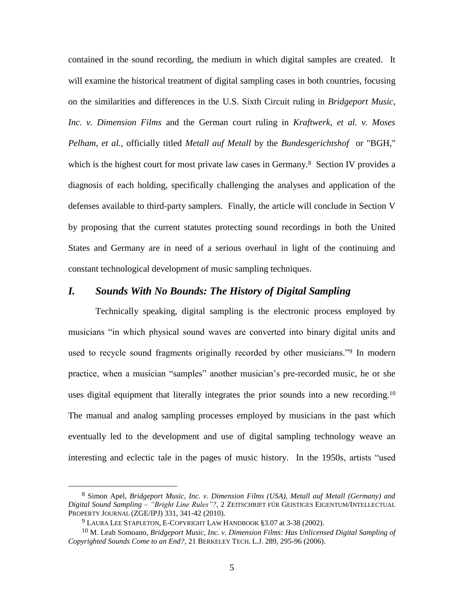contained in the sound recording, the medium in which digital samples are created. It will examine the historical treatment of digital sampling cases in both countries, focusing on the similarities and differences in the U.S. Sixth Circuit ruling in *Bridgeport Music, Inc. v. Dimension Films* and the German court ruling in *Kraftwerk, et al. v. Moses Pelham, et al.,* officially titled *Metall auf Metall* by the *Bundesgerichtshof* or "BGH," which is the highest court for most private law cases in Germany.<sup>8</sup> Section IV provides a diagnosis of each holding, specifically challenging the analyses and application of the defenses available to third-party samplers. Finally, the article will conclude in Section V by proposing that the current statutes protecting sound recordings in both the United States and Germany are in need of a serious overhaul in light of the continuing and constant technological development of music sampling techniques.

#### <span id="page-4-0"></span>*I. Sounds With No Bounds: The History of Digital Sampling*

Technically speaking, digital sampling is the electronic process employed by musicians "in which physical sound waves are converted into binary digital units and used to recycle sound fragments originally recorded by other musicians.<sup>79</sup> In modern practice, when a musician "samples" another musician's pre-recorded music, he or she uses digital equipment that literally integrates the prior sounds into a new recording.<sup>10</sup> The manual and analog sampling processes employed by musicians in the past which eventually led to the development and use of digital sampling technology weave an interesting and eclectic tale in the pages of music history. In the 1950s, artists "used

<sup>8</sup> Simon Apel, *Bridgeport Music, Inc. v. Dimension Films (USA), Metall auf Metall (Germany) and Digital Sound Sampling – "Bright Line Rules"?*, 2 ZEITSCHRIFT FÜR GEISTIGES EIGENTUM/INTELLECTUAL PROPERTY JOURNAL (ZGE/IPJ) 331, 341-42 (2010).

<sup>9</sup> LAURA LEE STAPLETON, E-COPYRIGHT LAW HANDBOOK §3.07 at 3-38 (2002).

<sup>10</sup> M. Leah Somoano, *Bridgeport Music, Inc. v. Dimension Films: Has Unlicensed Digital Sampling of Copyrighted Sounds Come to an End?,* 21 BERKELEY TECH. L.J. 289, 295-96 (2006).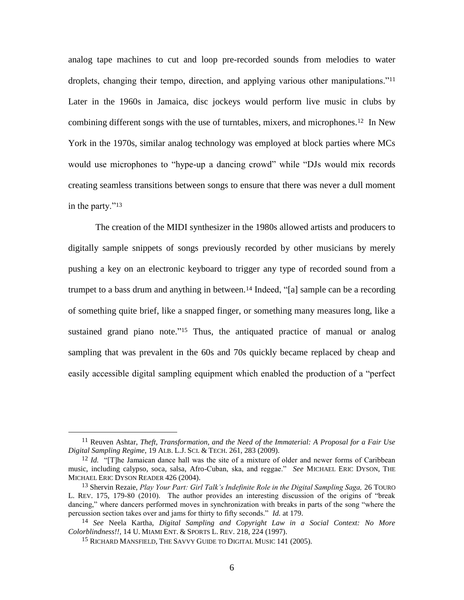analog tape machines to cut and loop pre-recorded sounds from melodies to water droplets, changing their tempo, direction, and applying various other manipulations."<sup>11</sup> Later in the 1960s in Jamaica, disc jockeys would perform live music in clubs by combining different songs with the use of turntables, mixers, and microphones.12 In New York in the 1970s, similar analog technology was employed at block parties where MCs would use microphones to "hype-up a dancing crowd" while "DJs would mix records creating seamless transitions between songs to ensure that there was never a dull moment in the party. $13$ 

The creation of the MIDI synthesizer in the 1980s allowed artists and producers to digitally sample snippets of songs previously recorded by other musicians by merely pushing a key on an electronic keyboard to trigger any type of recorded sound from a trumpet to a bass drum and anything in between.<sup>14</sup> Indeed, "[a] sample can be a recording of something quite brief, like a snapped finger, or something many measures long, like a sustained grand piano note."<sup>15</sup> Thus, the antiquated practice of manual or analog sampling that was prevalent in the 60s and 70s quickly became replaced by cheap and easily accessible digital sampling equipment which enabled the production of a "perfect"

<sup>11</sup> Reuven Ashtar, *Theft, Transformation, and the Need of the Immaterial: A Proposal for a Fair Use Digital Sampling Regime,* 19 ALB. L.J. SCI. & TECH. 261, 283 (2009).

<sup>&</sup>lt;sup>12</sup> *Id.* "The Jamaican dance hall was the site of a mixture of older and newer forms of Caribbean music, including calypso, soca, salsa, Afro-Cuban, ska, and reggae.‖ *See* MICHAEL ERIC DYSON, THE MICHAEL ERIC DYSON READER 426 (2004).

<sup>13</sup> Shervin Rezaie, *Play Your Part: Girl Talk's Indefinite Role in the Digital Sampling Saga,* 26 TOURO L. REV. 175, 179-80 (2010). The author provides an interesting discussion of the origins of "break dancing," where dancers performed moves in synchronization with breaks in parts of the song "where the percussion section takes over and jams for thirty to fifty seconds.‖ *Id.* at 179.

<sup>14</sup> *See* Neela Kartha, *Digital Sampling and Copyright Law in a Social Context: No More Colorblindness!!,* 14 U. MIAMI ENT. & SPORTS L. REV. 218, 224 (1997).

<sup>15</sup> RICHARD MANSFIELD, THE SAVVY GUIDE TO DIGITAL MUSIC 141 (2005).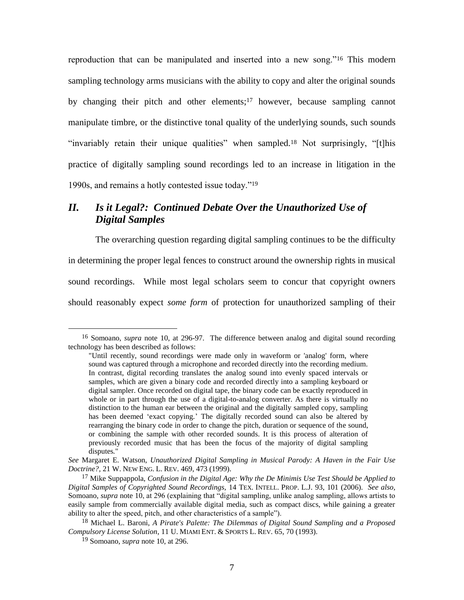reproduction that can be manipulated and inserted into a new song."<sup>16</sup> This modern sampling technology arms musicians with the ability to copy and alter the original sounds by changing their pitch and other elements; <sup>17</sup> however, because sampling cannot manipulate timbre, or the distinctive tonal quality of the underlying sounds, such sounds "invariably retain their unique qualities" when sampled.<sup>18</sup> Not surprisingly, "[t]his practice of digitally sampling sound recordings led to an increase in litigation in the 1990s, and remains a hotly contested issue today."<sup>19</sup>

# <span id="page-6-0"></span>*II. Is it Legal?: Continued Debate Over the Unauthorized Use of Digital Samples*

The overarching question regarding digital sampling continues to be the difficulty in determining the proper legal fences to construct around the ownership rights in musical sound recordings. While most legal scholars seem to concur that copyright owners should reasonably expect *some form* of protection for unauthorized sampling of their

<sup>16</sup> Somoano, *supra* note 10, at 296-97. The difference between analog and digital sound recording technology has been described as follows:

<sup>&</sup>quot;Until recently, sound recordings were made only in waveform or 'analog' form, where sound was captured through a microphone and recorded directly into the recording medium. In contrast, digital recording translates the analog sound into evenly spaced intervals or samples, which are given a binary code and recorded directly into a sampling keyboard or digital sampler. Once recorded on digital tape, the binary code can be exactly reproduced in whole or in part through the use of a digital-to-analog converter. As there is virtually no distinction to the human ear between the original and the digitally sampled copy, sampling has been deemed 'exact copying.' The digitally recorded sound can also be altered by rearranging the binary code in order to change the pitch, duration or sequence of the sound, or combining the sample with other recorded sounds. It is this process of alteration of previously recorded music that has been the focus of the majority of digital sampling disputes*.*"

*See* Margaret E. Watson, *Unauthorized Digital Sampling in Musical Parody: A Haven in the Fair Use Doctrine?,* 21 W. NEW ENG. L. REV. 469, 473 (1999).

<sup>17</sup> Mike Suppappola, *Confusion in the Digital Age: Why the De Minimis Use Test Should be Applied to Digital Samples of Copyrighted Sound Recordings,* 14 TEX. INTELL. PROP. L.J. 93, 101 (2006). *See also,*  Somoano, *supra* note 10, at 296 (explaining that "digital sampling, unlike analog sampling, allows artists to easily sample from commercially available digital media, such as compact discs, while gaining a greater ability to alter the speed, pitch, and other characteristics of a sample").

<sup>18</sup> Michael L. Baroni, *A Pirate's Palette: The Dilemmas of Digital Sound Sampling and a Proposed Compulsory License Solution*, 11 U. MIAMI ENT. & SPORTS L. REV. 65, 70 (1993).

<sup>19</sup> Somoano, *supra* note 10, at 296.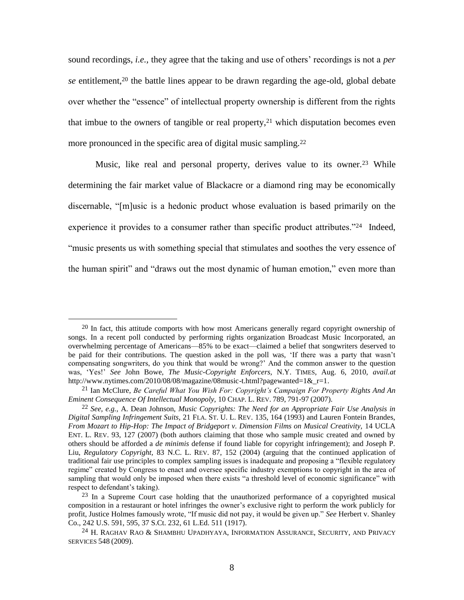sound recordings, *i.e.,* they agree that the taking and use of others' recordings is not a *per se* entitlement,<sup>20</sup> the battle lines appear to be drawn regarding the age-old, global debate over whether the "essence" of intellectual property ownership is different from the rights that imbue to the owners of tangible or real property, <sup>21</sup> which disputation becomes even more pronounced in the specific area of digital music sampling.<sup>22</sup>

Music, like real and personal property, derives value to its owner.<sup>23</sup> While determining the fair market value of Blackacre or a diamond ring may be economically discernable, "[m]usic is a hedonic product whose evaluation is based primarily on the experience it provides to a consumer rather than specific product attributes."<sup>24</sup> Indeed, "music presents us with something special that stimulates and soothes the very essence of the human spirit" and "draws out the most dynamic of human emotion," even more than

 $20$  In fact, this attitude comports with how most Americans generally regard copyright ownership of songs. In a recent poll conducted by performing rights organization Broadcast Music Incorporated, an overwhelming percentage of Americans—85% to be exact—claimed a belief that songwriters deserved to be paid for their contributions. The question asked in the poll was, 'If there was a party that wasn't compensating songwriters, do you think that would be wrong?' And the common answer to the question was, ‗Yes!' *See* John Bowe, *The Music-Copyright Enforcers,* N.Y. TIMES, Aug. 6, 2010, *avail.at* http://www.nytimes.com/2010/08/08/magazine/08music-t.html?pagewanted=1& r=1.

<sup>21</sup> Ian McClure, *Be Careful What You Wish For: Copyright's Campaign For Property Rights And An Eminent Consequence Of Intellectual Monopoly,* 10 CHAP. L. REV. 789, 791-97 (2007).

<sup>22</sup> *See, e.g.,* A. Dean Johnson, *Music Copyrights: The Need for an Appropriate Fair Use Analysis in Digital Sampling Infringement Suits*, 21 FLA. ST. U. L. REV. 135, 164 (1993) and Lauren Fontein Brandes, *From Mozart to Hip-Hop: The Impact of Bridgeport v. Dimension Films on Musical Creativity, 14 UCLA* ENT. L. REV. 93, 127 (2007) (both authors claiming that those who sample music created and owned by others should be afforded a *de minimis* defense if found liable for copyright infringement); and Joseph P. Liu, *Regulatory Copyright,* 83 N.C. L. REV. 87, 152 (2004) (arguing that the continued application of traditional fair use principles to complex sampling issues is inadequate and proposing a "flexible regulatory regime" created by Congress to enact and oversee specific industry exemptions to copyright in the area of sampling that would only be imposed when there exists "a threshold level of economic significance" with respect to defendant's taking).

 $23$  In a Supreme Court case holding that the unauthorized performance of a copyrighted musical composition in a restaurant or hotel infringes the owner's exclusive right to perform the work publicly for profit, Justice Holmes famously wrote, "If music did not pay, it would be given up." *See* Herbert v. Shanley Co., 242 U.S. 591, 595, 37 S.Ct. 232, 61 L.Ed. 511 (1917).

<sup>24</sup> H. RAGHAV RAO & SHAMBHU UPADHYAYA, INFORMATION ASSURANCE, SECURITY, AND PRIVACY SERVICES 548 (2009).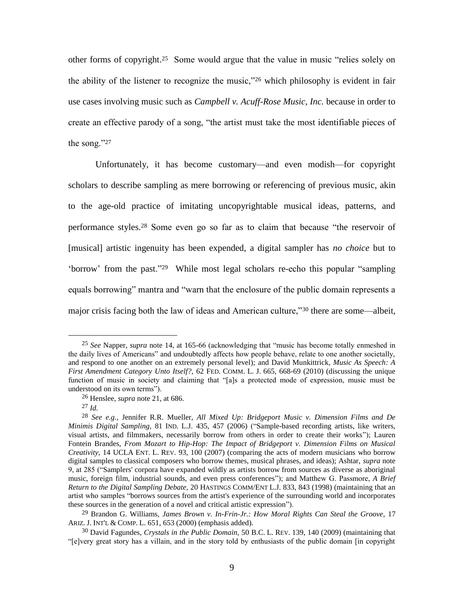other forms of copyright.<sup>25</sup> Some would argue that the value in music "relies solely on the ability of the listener to recognize the music," $26$  which philosophy is evident in fair use cases involving music such as *Campbell v. Acuff-Rose Music, Inc.* because in order to create an effective parody of a song, "the artist must take the most identifiable pieces of the song. $"27$ 

Unfortunately, it has become customary—and even modish—for copyright scholars to describe sampling as mere borrowing or referencing of previous music, akin to the age-old practice of imitating uncopyrightable musical ideas, patterns, and performance styles.<sup>28</sup> Some even go so far as to claim that because "the reservoir of [musical] artistic ingenuity has been expended, a digital sampler has *no choice* but to 'borrow' from the past."<sup>29</sup> While most legal scholars re-echo this popular "sampling" equals borrowing" mantra and "warn that the enclosure of the public domain represents a major crisis facing both the law of ideas and American culture,"<sup>30</sup> there are some—albeit,

<sup>&</sup>lt;sup>25</sup> *See* Napper, *supra* note 14, at 165-66 (acknowledging that "music has become totally enmeshed in the daily lives of Americans" and undoubtedly affects how people behave, relate to one another societally, and respond to one another on an extremely personal level); and David Munkittrick, *Music As Speech: A First Amendment Category Unto Itself?,* 62 FED. COMM. L. J. 665, 668-69 (2010) (discussing the unique function of music in society and claiming that "[a]s a protected mode of expression, music must be understood on its own terms").

<sup>26</sup> Henslee, *supra* note 21, at 686.

<sup>27</sup> *Id.*

<sup>28</sup> *See e.g.,* Jennifer R.R. Mueller, *All Mixed Up: Bridgeport Music v. Dimension Films and De Minimis Digital Sampling, 81 IND. L.J. 435, 457 (2006) ("Sample-based recording artists, like writers,* visual artists, and filmmakers, necessarily borrow from others in order to create their works‖); Lauren Fontein Brandes, *From Mozart to Hip-Hop: The Impact of Bridgeport v. Dimension Films on Musical Creativity,* 14 UCLA ENT. L. REV. 93, 100 (2007) (comparing the acts of modern musicians who borrow digital samples to classical composers who borrow themes, musical phrases, and ideas); Ashtar, *supra* note 9, at 285 ("Samplers' corpora have expanded wildly as artists borrow from sources as diverse as aboriginal music, foreign film, industrial sounds, and even press conferences"); and Matthew G. Passmore, *A Brief Return to the Digital Sampling Debate,* 20 HASTINGS COMM/ENT L.J. 833, 843 (1998) (maintaining that an artist who samples "borrows sources from the artist's experience of the surrounding world and incorporates these sources in the generation of a novel and critical artistic expression").

<sup>29</sup> Brandon G. Williams, *James Brown v. In-Frin-Jr.: How Moral Rights Can Steal the Groove,* 17 ARIZ. J. INT'L & COMP. L. 651, 653 (2000) (emphasis added).

<sup>30</sup> David Fagundes, *Crystals in the Public Domain,* 50 B.C. L. REV. 139, 140 (2009) (maintaining that ―[e]very great story has a villain, and in the story told by enthusiasts of the public domain [in copyright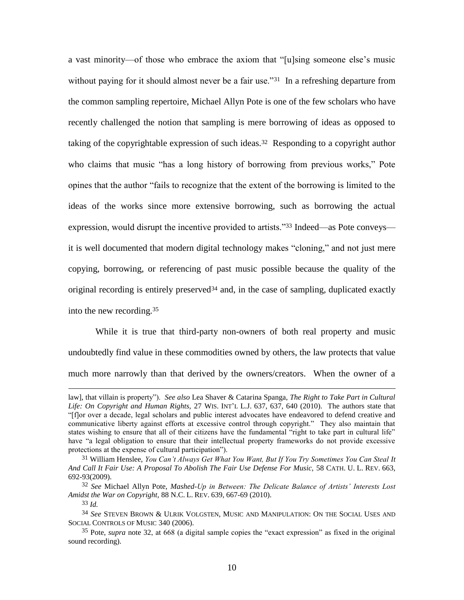a vast minority—of those who embrace the axiom that "[u]sing someone else's music without paying for it should almost never be a fair use."<sup>31</sup> In a refreshing departure from the common sampling repertoire, Michael Allyn Pote is one of the few scholars who have recently challenged the notion that sampling is mere borrowing of ideas as opposed to taking of the copyrightable expression of such ideas.32 Responding to a copyright author who claims that music "has a long history of borrowing from previous works," Pote opines that the author "fails to recognize that the extent of the borrowing is limited to the ideas of the works since more extensive borrowing, such as borrowing the actual expression, would disrupt the incentive provided to artists."33 Indeed—as Pote conveys it is well documented that modern digital technology makes "cloning," and not just mere copying, borrowing, or referencing of past music possible because the quality of the original recording is entirely preserved<sup> $34$ </sup> and, in the case of sampling, duplicated exactly into the new recording.<sup>35</sup>

While it is true that third-party non-owners of both real property and music undoubtedly find value in these commodities owned by others, the law protects that value much more narrowly than that derived by the owners/creators. When the owner of a

law], that villain is property"). *See also* Lea Shaver & Catarina Spanga, *The Right to Take Part in Cultural Life: On Copyright and Human Rights,* 27 WIS. INT'L L.J. 637, 637, 640 (2010). The authors state that ―[f]or over a decade, legal scholars and public interest advocates have endeavored to defend creative and communicative liberty against efforts at excessive control through copyright." They also maintain that states wishing to ensure that all of their citizens have the fundamental "right to take part in cultural life" have "a legal obligation to ensure that their intellectual property frameworks do not provide excessive protections at the expense of cultural participation").

<sup>31</sup> William Henslee, *You Can't Always Get What You Want, But If You Try Sometimes You Can Steal It And Call It Fair Use: A Proposal To Abolish The Fair Use Defense For Music,* 58 CATH. U. L. REV. 663, 692-93(2009).

<sup>32</sup> *See* Michael Allyn Pote, *Mashed-Up in Between: The Delicate Balance of Artists' Interests Lost Amidst the War on Copyright,* 88 N.C. L. REV. 639, 667-69 (2010).

<sup>33</sup> *Id.*

<sup>34</sup> *See* STEVEN BROWN & ULRIK VOLGSTEN, MUSIC AND MANIPULATION: ON THE SOCIAL USES AND SOCIAL CONTROLS OF MUSIC 340 (2006).

<sup>&</sup>lt;sup>35</sup> Pote, *supra* note 32, at 668 (a digital sample copies the "exact expression" as fixed in the original sound recording).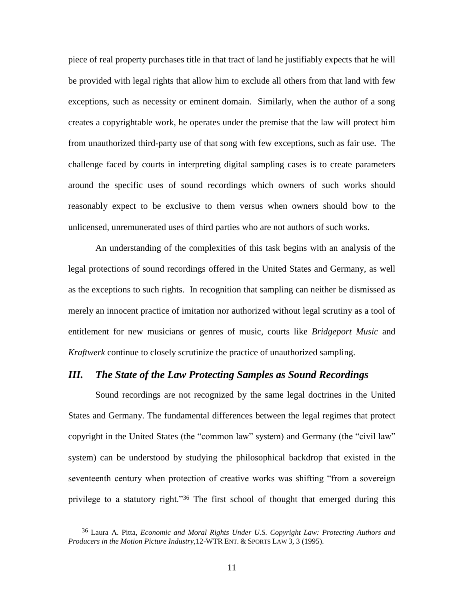piece of real property purchases title in that tract of land he justifiably expects that he will be provided with legal rights that allow him to exclude all others from that land with few exceptions, such as necessity or eminent domain. Similarly, when the author of a song creates a copyrightable work, he operates under the premise that the law will protect him from unauthorized third-party use of that song with few exceptions, such as fair use. The challenge faced by courts in interpreting digital sampling cases is to create parameters around the specific uses of sound recordings which owners of such works should reasonably expect to be exclusive to them versus when owners should bow to the unlicensed, unremunerated uses of third parties who are not authors of such works.

An understanding of the complexities of this task begins with an analysis of the legal protections of sound recordings offered in the United States and Germany, as well as the exceptions to such rights. In recognition that sampling can neither be dismissed as merely an innocent practice of imitation nor authorized without legal scrutiny as a tool of entitlement for new musicians or genres of music, courts like *Bridgeport Music* and *Kraftwerk* continue to closely scrutinize the practice of unauthorized sampling.

#### <span id="page-10-0"></span>*III. The State of the Law Protecting Samples as Sound Recordings*

Sound recordings are not recognized by the same legal doctrines in the United States and Germany. The fundamental differences between the legal regimes that protect copyright in the United States (the "common law" system) and Germany (the "civil law" system) can be understood by studying the philosophical backdrop that existed in the seventeenth century when protection of creative works was shifting "from a sovereign privilege to a statutory right."36 The first school of thought that emerged during this

<sup>36</sup> Laura A. Pitta, *Economic and Moral Rights Under U.S. Copyright Law: Protecting Authors and Producers in the Motion Picture Industry,*12-WTR ENT. & SPORTS LAW 3, 3 (1995).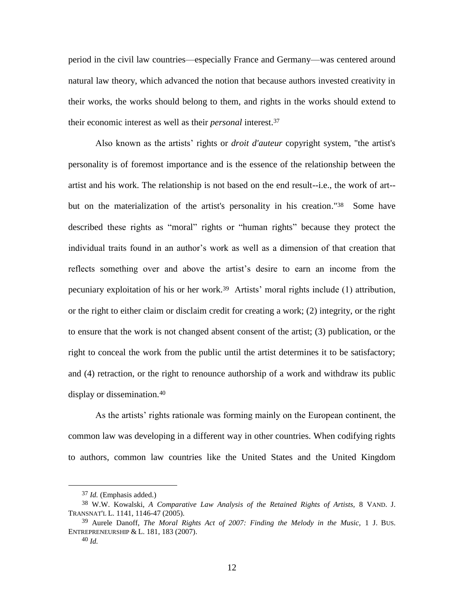period in the civil law countries—especially France and Germany—was centered around natural law theory, which advanced the notion that because authors invested creativity in their works, the works should belong to them, and rights in the works should extend to their economic interest as well as their *personal* interest. 37

Also known as the artists' rights or *droit d'auteur* copyright system, "the artist's personality is of foremost importance and is the essence of the relationship between the artist and his work. The relationship is not based on the end result--i.e., the work of art- but on the materialization of the artist's personality in his creation."<sup>38</sup> Some have described these rights as "moral" rights or "human rights" because they protect the individual traits found in an author's work as well as a dimension of that creation that reflects something over and above the artist's desire to earn an income from the pecuniary exploitation of his or her work.<sup>39</sup> Artists' moral rights include (1) attribution, or the right to either claim or disclaim credit for creating a work; (2) integrity, or the right to ensure that the work is not changed absent consent of the artist; (3) publication, or the right to conceal the work from the public until the artist determines it to be satisfactory; and (4) retraction, or the right to renounce authorship of a work and withdraw its public display or dissemination.<sup>40</sup>

As the artists' rights rationale was forming mainly on the European continent, the common law was developing in a different way in other countries. When codifying rights to authors, common law countries like the United States and the United Kingdom

<sup>37</sup> *Id.* (Emphasis added.)

<sup>38</sup> W.W. Kowalski, *A Comparative Law Analysis of the Retained Rights of Artists,* 8 VAND. J. TRANSNAT'L L. 1141, 1146-47 (2005).

<sup>39</sup> Aurele Danoff, *The Moral Rights Act of 2007: Finding the Melody in the Music,* 1 J. BUS. ENTREPRENEURSHIP & L. 181, 183 (2007).

<sup>40</sup> *Id.*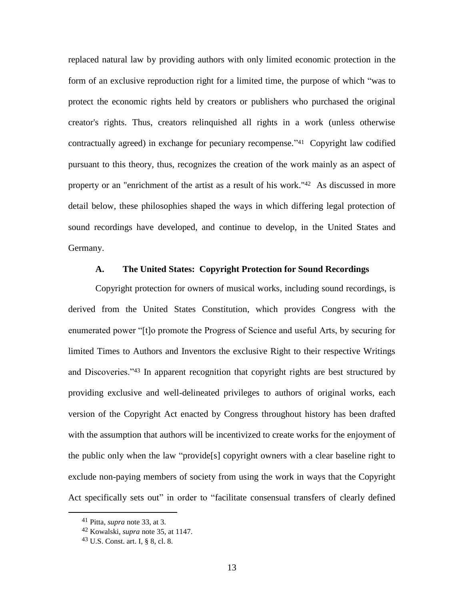replaced natural law by providing authors with only limited economic protection in the form of an exclusive reproduction right for a limited time, the purpose of which "was to protect the economic rights held by creators or publishers who purchased the original creator's rights. Thus, creators relinquished all rights in a work (unless otherwise contractually agreed) in exchange for pecuniary recompense." $41$  Copyright law codified pursuant to this theory, thus, recognizes the creation of the work mainly as an aspect of property or an "enrichment of the artist as a result of his work."42 As discussed in more detail below, these philosophies shaped the ways in which differing legal protection of sound recordings have developed, and continue to develop, in the United States and Germany.

#### **A. The United States: Copyright Protection for Sound Recordings**

<span id="page-12-0"></span>Copyright protection for owners of musical works, including sound recordings, is derived from the United States Constitution, which provides Congress with the enumerated power "[t]o promote the Progress of Science and useful Arts, by securing for limited Times to Authors and Inventors the exclusive Right to their respective Writings and Discoveries.<sup>743</sup> In apparent recognition that copyright rights are best structured by providing exclusive and well-delineated privileges to authors of original works, each version of the Copyright Act enacted by Congress throughout history has been drafted with the assumption that authors will be incentivized to create works for the enjoyment of the public only when the law "provide<sup>[s]</sup> copyright owners with a clear baseline right to exclude non-paying members of society from using the work in ways that the Copyright Act specifically sets out" in order to "facilitate consensual transfers of clearly defined

<sup>41</sup> Pitta, *supra* note 33, at 3*.*

<sup>42</sup> Kowalski, *supra* note 35, at 1147.

<sup>43</sup> U.S. Const. art. I, § 8, cl. 8.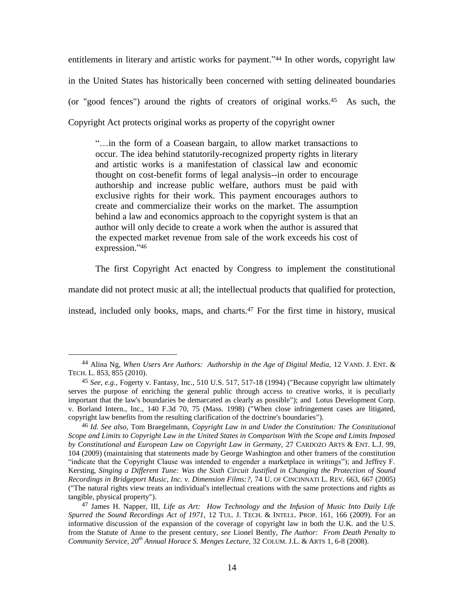entitlements in literary and artistic works for payment."<sup>44</sup> In other words, copyright law in the United States has historically been concerned with setting delineated boundaries (or "good fences") around the rights of creators of original works.45 As such, the Copyright Act protects original works as property of the copyright owner

―…in the form of a Coasean bargain, to allow market transactions to occur. The idea behind statutorily-recognized property rights in literary and artistic works is a manifestation of classical law and economic thought on cost-benefit forms of legal analysis--in order to encourage authorship and increase public welfare, authors must be paid with exclusive rights for their work. This payment encourages authors to create and commercialize their works on the market. The assumption behind a law and economics approach to the copyright system is that an author will only decide to create a work when the author is assured that the expected market revenue from sale of the work exceeds his cost of expression."46

The first Copyright Act enacted by Congress to implement the constitutional

mandate did not protect music at all; the intellectual products that qualified for protection,

instead, included only books, maps, and charts.<sup>47</sup> For the first time in history, musical

<sup>44</sup> Alina Ng, *When Users Are Authors: Authorship in the Age of Digital Media,* 12 VAND. J. ENT. & TECH. L. 853, 855 (2010).

<sup>45</sup> *See, e.g.,* Fogerty v. Fantasy, Inc., 510 U.S. 517, 517-18 (1994) ("Because copyright law ultimately serves the purpose of enriching the general public through access to creative works, it is peculiarly important that the law's boundaries be demarcated as clearly as possible"); and Lotus Development Corp. v. Borland Intern., Inc., 140 F.3d 70, 75 (Mass. 1998) ("When close infringement cases are litigated, copyright law benefits from the resulting clarification of the doctrine's boundaries").

<sup>46</sup> *Id. See also,* Tom Braegelmann, *Copyright Law in and Under the Constitution: The Constitutional Scope and Limits to Copyright Law in the United States in Comparison With the Scope and Limits Imposed by Constitutional and European Law on Copyright Law in Germany,* 27 CARDOZO ARTS & ENT. L.J. 99, 104 (2009) (maintaining that statements made by George Washington and other framers of the constitution ―indicate that the Copyright Clause was intended to engender a marketplace in writings‖); and Jeffrey F. Kersting, *Singing a Different Tune: Was the Sixth Circuit Justified in Changing the Protection of Sound Recordings in Bridgeport Music, Inc. v. Dimension Films:?,* 74 U. OF CINCINNATI L. REV. 663, 667 (2005) ("The natural rights view treats an individual's intellectual creations with the same protections and rights as tangible, physical property").

<sup>47</sup> James H. Napper, III, *Life as Art: How Technology and the Infusion of Music Into Daily Life Spurred the Sound Recordings Act of 1971,* 12 TUL. J. TECH. & INTELL. PROP. 161, 166 (2009). For an informative discussion of the expansion of the coverage of copyright law in both the U.K. and the U.S. from the Statute of Anne to the present century, *see* Lionel Bently, *The Author: From Death Penalty to Community Service, 20th Annual Horace S. Menges Lecture,* 32 COLUM. J.L. & ARTS 1, 6-8 (2008).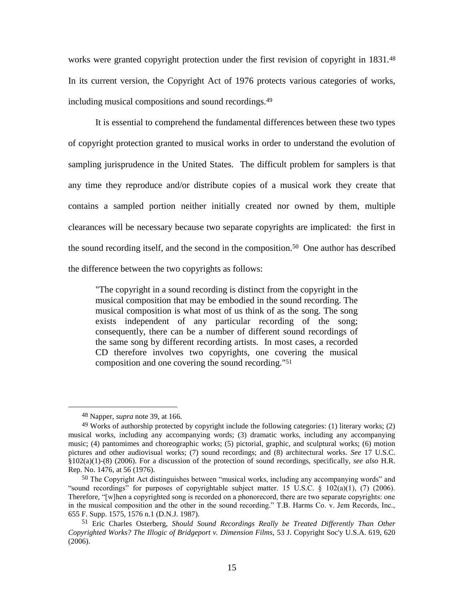works were granted copyright protection under the first revision of copyright in 1831.<sup>48</sup> In its current version, the Copyright Act of 1976 protects various categories of works, including musical compositions and sound recordings.<sup>49</sup>

It is essential to comprehend the fundamental differences between these two types of copyright protection granted to musical works in order to understand the evolution of sampling jurisprudence in the United States. The difficult problem for samplers is that any time they reproduce and/or distribute copies of a musical work they create that contains a sampled portion neither initially created nor owned by them, multiple clearances will be necessary because two separate copyrights are implicated: the first in the sound recording itself, and the second in the composition.50 One author has described the difference between the two copyrights as follows:

"The copyright in a sound recording is distinct from the copyright in the musical composition that may be embodied in the sound recording. The musical composition is what most of us think of as the song. The song exists independent of any particular recording of the song; consequently, there can be a number of different sound recordings of the same song by different recording artists. In most cases, a recorded CD therefore involves two copyrights, one covering the musical composition and one covering the sound recording."<sup>51</sup>

<sup>48</sup> Napper, *supra* note 39, at 166.

<sup>49</sup> Works of authorship protected by copyright include the following categories: (1) literary works; (2) musical works, including any accompanying words; (3) dramatic works, including any accompanying music; (4) pantomimes and choreographic works; (5) pictorial, graphic, and sculptural works; (6) motion pictures and other audiovisual works; (7) sound recordings; and (8) architectural works. *See* 17 U.S.C. §102(a)(1)-(8) (2006). For a discussion of the protection of sound recordings, specifically, *see also* H.R. Rep. No. 1476, at 56 (1976).

<sup>50</sup> The Copyright Act distinguishes between "musical works, including any accompanying words" and "sound recordings" for purposes of copyrightable subject matter. 15 U.S.C.  $\S$  102(a)(1), (7) (2006). Therefore, "[w]hen a copyrighted song is recorded on a phonorecord, there are two separate copyrights: one in the musical composition and the other in the sound recording." T.B. Harms Co. v. Jem Records, Inc., 655 F. Supp. 1575, 1576 n.1 (D.N.J. 1987).

<sup>51</sup> Eric Charles Osterberg, *Should Sound Recordings Really be Treated Differently Than Other Copyrighted Works? The Illogic of Bridgeport v. Dimension Films,* 53 J. Copyright Soc'y U.S.A. 619, 620 (2006).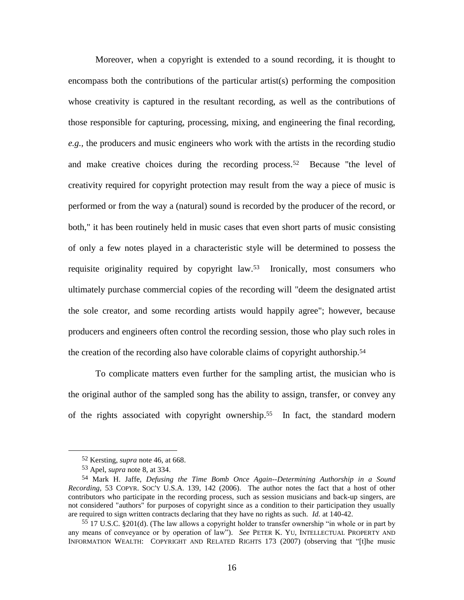Moreover, when a copyright is extended to a sound recording, it is thought to encompass both the contributions of the particular artist(s) performing the composition whose creativity is captured in the resultant recording, as well as the contributions of those responsible for capturing, processing, mixing, and engineering the final recording, *e.g.,* the producers and music engineers who work with the artists in the recording studio and make creative choices during the recording process.<sup>52</sup> Because "the level of creativity required for copyright protection may result from the way a piece of music is performed or from the way a (natural) sound is recorded by the producer of the record, or both," it has been routinely held in music cases that even short parts of music consisting of only a few notes played in a characteristic style will be determined to possess the requisite originality required by copyright law.53 Ironically, most consumers who ultimately purchase commercial copies of the recording will "deem the designated artist the sole creator, and some recording artists would happily agree"; however, because producers and engineers often control the recording session, those who play such roles in the creation of the recording also have colorable claims of copyright authorship.<sup>54</sup>

To complicate matters even further for the sampling artist, the musician who is the original author of the sampled song has the ability to assign, transfer, or convey any of the rights associated with copyright ownership. <sup>55</sup> In fact, the standard modern

<sup>52</sup> Kersting, *supra* note 46, at 668.

<sup>53</sup> Apel, *supra* note 8, at 334.

<sup>54</sup> Mark H. Jaffe, *Defusing the Time Bomb Once Again--Determining Authorship in a Sound Recording,* 53 COPYR. SOC'Y U.S.A. 139, 142 (2006). The author notes the fact that a host of other contributors who participate in the recording process, such as session musicians and back-up singers, are not considered "authors" for purposes of copyright since as a condition to their participation they usually are required to sign written contracts declaring that they have no rights as such. *Id.* at 140-42.

 $55$  17 U.S.C. §201(d). (The law allows a copyright holder to transfer ownership "in whole or in part by any means of conveyance or by operation of law"). *See PETER K. YU*, INTELLECTUAL PROPERTY AND INFORMATION WEALTH: COPYRIGHT AND RELATED RIGHTS 173 (2007) (observing that "[t]he music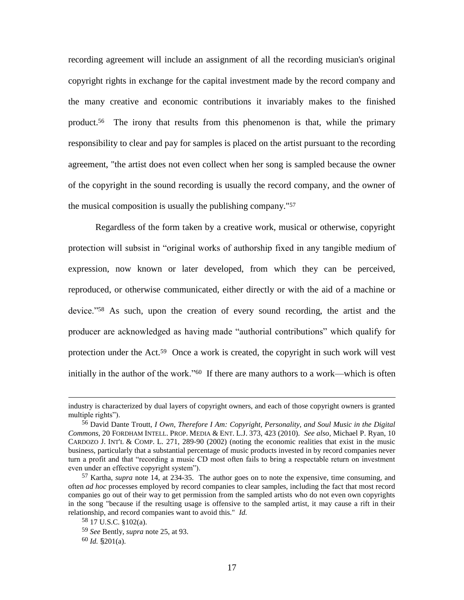recording agreement will include an assignment of all the recording musician's original copyright rights in exchange for the capital investment made by the record company and the many creative and economic contributions it invariably makes to the finished product.56 The irony that results from this phenomenon is that, while the primary responsibility to clear and pay for samples is placed on the artist pursuant to the recording agreement, "the artist does not even collect when her song is sampled because the owner of the copyright in the sound recording is usually the record company, and the owner of the musical composition is usually the publishing company."<sup>57</sup>

Regardless of the form taken by a creative work, musical or otherwise, copyright protection will subsist in "original works of authorship fixed in any tangible medium of expression, now known or later developed, from which they can be perceived, reproduced, or otherwise communicated, either directly or with the aid of a machine or device."<sup>58</sup> As such, upon the creation of every sound recording, the artist and the producer are acknowledged as having made "authorial contributions" which qualify for protection under the Act.<sup>59</sup> Once a work is created, the copyright in such work will vest initially in the author of the work."<sup>60</sup> If there are many authors to a work—which is often

60 *Id.* §201(a).

industry is characterized by dual layers of copyright owners, and each of those copyright owners is granted multiple rights").

<sup>56</sup> David Dante Troutt, *I Own, Therefore I Am: Copyright, Personality, and Soul Music in the Digital Commons,* 20 FORDHAM INTELL. PROP. MEDIA & ENT. L.J. 373, 423 (2010). *See also,* Michael P. Ryan, 10 CARDOZO J. INT'L & COMP. L. 271, 289-90 (2002) (noting the economic realities that exist in the music business, particularly that a substantial percentage of music products invested in by record companies never turn a profit and that "recording a music CD most often fails to bring a respectable return on investment even under an effective copyright system").

<sup>57</sup> Kartha, *supra* note 14, at 234-35. The author goes on to note the expensive, time consuming, and often *ad hoc* processes employed by record companies to clear samples, including the fact that most record companies go out of their way to get permission from the sampled artists who do not even own copyrights in the song "because if the resulting usage is offensive to the sampled artist, it may cause a rift in their relationship, and record companies want to avoid this." *Id.*

<sup>58</sup> 17 U.S.C. §102(a).

<sup>59</sup> *See* Bently, *supra* note 25, at 93.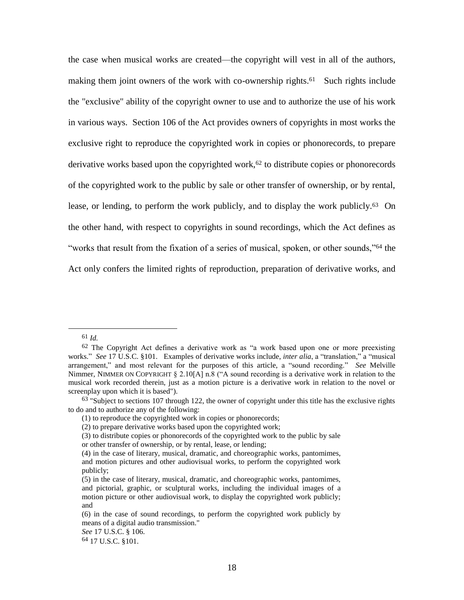the case when musical works are created—the copyright will vest in all of the authors, making them joint owners of the work with co-ownership rights.<sup>61</sup> Such rights include the "exclusive" ability of the copyright owner to use and to authorize the use of his work in various ways. Section 106 of the Act provides owners of copyrights in most works the exclusive right to reproduce the copyrighted work in copies or phonorecords, to prepare derivative works based upon the copyrighted work,<sup>62</sup> to distribute copies or phonorecords of the copyrighted work to the public by sale or other transfer of ownership, or by rental, lease, or lending, to perform the work publicly, and to display the work publicly.<sup>63</sup> On the other hand, with respect to copyrights in sound recordings, which the Act defines as "works that result from the fixation of a series of musical, spoken, or other sounds,"<sup>64</sup> the Act only confers the limited rights of reproduction, preparation of derivative works, and

<sup>61</sup> *Id.* 

 $62$  The Copyright Act defines a derivative work as "a work based upon one or more preexisting works." See 17 U.S.C. §101. Examples of derivative works include, *inter alia*, a "translation," a "musical arrangement," and most relevant for the purposes of this article, a "sound recording." *See* Melville Nimmer, NIMMER ON COPYRIGHT  $\S 2.10[A]$  n.8 ("A sound recording is a derivative work in relation to the musical work recorded therein, just as a motion picture is a derivative work in relation to the novel or screenplay upon which it is based").

 $63$  "Subject to sections 107 through 122, the owner of copyright under this title has the exclusive rights to do and to authorize any of the following:

<sup>(1)</sup> to reproduce the copyrighted work in copies or phonorecords;

<sup>(2)</sup> to prepare derivative works based upon the copyrighted work;

<sup>(3)</sup> to distribute copies or phonorecords of the copyrighted work to the public by sale or other transfer of ownership, or by rental, lease, or lending;

<sup>(4)</sup> in the case of literary, musical, dramatic, and choreographic works, pantomimes, and motion pictures and other audiovisual works, to perform the copyrighted work publicly;

<sup>(5)</sup> in the case of literary, musical, dramatic, and choreographic works, pantomimes, and pictorial, graphic, or sculptural works, including the individual images of a motion picture or other audiovisual work, to display the copyrighted work publicly; and

<sup>(6)</sup> in the case of sound recordings, to perform the copyrighted work publicly by means of a digital audio transmission."

*See* 17 U.S.C. § 106.

<sup>64</sup> 17 U.S.C. §101.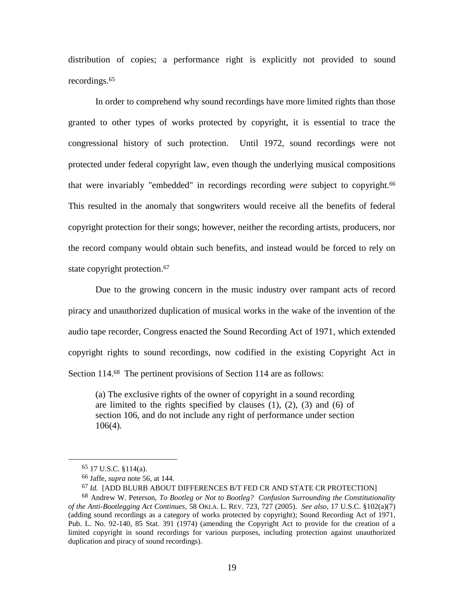distribution of copies; a performance right is explicitly not provided to sound recordings.<sup>65</sup>

In order to comprehend why sound recordings have more limited rights than those granted to other types of works protected by copyright, it is essential to trace the congressional history of such protection. Until 1972, sound recordings were not protected under federal copyright law, even though the underlying musical compositions that were invariably "embedded" in recordings recording *were* subject to copyright.<sup>66</sup> This resulted in the anomaly that songwriters would receive all the benefits of federal copyright protection for their songs; however, neither the recording artists, producers, nor the record company would obtain such benefits, and instead would be forced to rely on state copyright protection.<sup>67</sup>

Due to the growing concern in the music industry over rampant acts of record piracy and unauthorized duplication of musical works in the wake of the invention of the audio tape recorder, Congress enacted the Sound Recording Act of 1971, which extended copyright rights to sound recordings, now codified in the existing Copyright Act in Section 114.<sup>68</sup> The pertinent provisions of Section 114 are as follows:

(a) The exclusive rights of the owner of copyright in a sound recording are limited to the rights specified by clauses  $(1)$ ,  $(2)$ ,  $(3)$  and  $(6)$  of section 106, and do not include any right of performance under section 106(4).

 $\overline{a}$ 

67 *Id.* [ADD BLURB ABOUT DIFFERENCES B/T FED CR AND STATE CR PROTECTION]

<sup>65</sup> 17 U.S.C. §114(a).

<sup>66</sup> Jaffe, *supra* note 56, at 144.

<sup>68</sup> Andrew W. Peterson, *To Bootleg or Not to Bootleg? Confusion Surrounding the Constitutionality of the Anti-Bootlegging Act Continues,* 58 OKLA. L. REV. 723, 727 (2005). *See also,* 17 U.S.C. §102(a)(7) (adding sound recordings as a category of works protected by copyright); Sound Recording Act of 1971, Pub. L. No. 92-140, 85 Stat. 391 (1974) (amending the Copyright Act to provide for the creation of a limited copyright in sound recordings for various purposes, including protection against unauthorized duplication and piracy of sound recordings).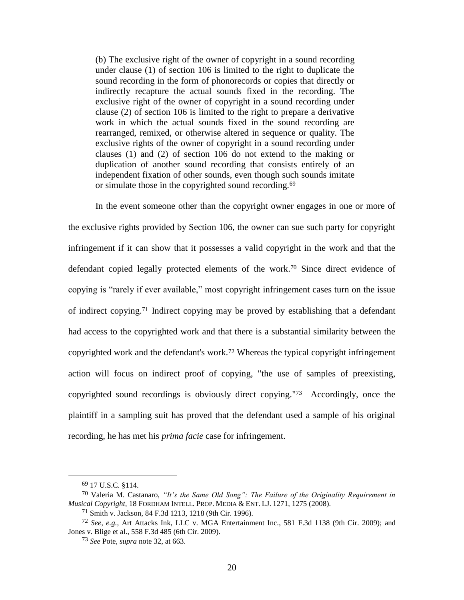(b) The exclusive right of the owner of copyright in a sound recording under clause (1) of section 106 is limited to the right to duplicate the sound recording in the form of phonorecords or copies that directly or indirectly recapture the actual sounds fixed in the recording. The exclusive right of the owner of copyright in a sound recording under clause (2) of section 106 is limited to the right to prepare a derivative work in which the actual sounds fixed in the sound recording are rearranged, remixed, or otherwise altered in sequence or quality. The exclusive rights of the owner of copyright in a sound recording under clauses (1) and (2) of section 106 do not extend to the making or duplication of another sound recording that consists entirely of an independent fixation of other sounds, even though such sounds imitate or simulate those in the copyrighted sound recording.<sup>69</sup>

In the event someone other than the copyright owner engages in one or more of the exclusive rights provided by Section 106, the owner can sue such party for copyright infringement if it can show that it possesses a valid copyright in the work and that the defendant copied legally protected elements of the work.<sup>70</sup> Since direct evidence of copying is "rarely if ever available," most copyright infringement cases turn on the issue of indirect copying.<sup>71</sup> Indirect copying may be proved by establishing that a defendant had access to the copyrighted work and that there is a substantial similarity between the copyrighted work and the defendant's work.<sup>72</sup> Whereas the typical copyright infringement action will focus on indirect proof of copying, "the use of samples of preexisting, copyrighted sound recordings is obviously direct copying."73 Accordingly, once the plaintiff in a sampling suit has proved that the defendant used a sample of his original recording, he has met his *prima facie* case for infringement.

<sup>69</sup> 17 U.S.C. §114.

<sup>70</sup> Valeria M. Castanaro, *"It's the Same Old Song": The Failure of the Originality Requirement in Musical Copyright,* 18 FORDHAM INTELL. PROP. MEDIA & ENT. LJ. 1271, 1275 (2008).

<sup>71</sup> Smith v. Jackson, 84 F.3d 1213, 1218 (9th Cir. 1996).

<sup>72</sup> *See, e.g.,* Art Attacks Ink, LLC v. MGA Entertainment Inc., 581 F.3d 1138 (9th Cir. 2009); and Jones v. Blige et al., 558 F.3d 485 (6th Cir. 2009).

<sup>73</sup> *See* Pote, *supra* note 32, at 663.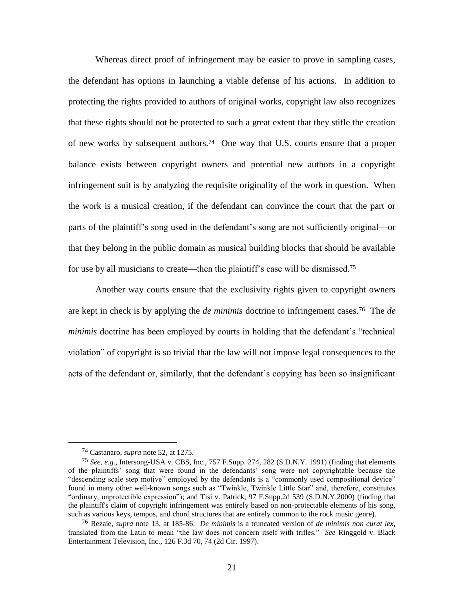Whereas direct proof of infringement may be easier to prove in sampling cases, the defendant has options in launching a viable defense of his actions. In addition to protecting the rights provided to authors of original works, copyright law also recognizes that these rights should not be protected to such a great extent that they stifle the creation of new works by subsequent authors.74 One way that U.S. courts ensure that a proper balance exists between copyright owners and potential new authors in a copyright infringement suit is by analyzing the requisite originality of the work in question. When the work is a musical creation, if the defendant can convince the court that the part or parts of the plaintiff's song used in the defendant's song are not sufficiently original—or that they belong in the public domain as musical building blocks that should be available for use by all musicians to create—then the plaintiff's case will be dismissed.<sup>75</sup>

Another way courts ensure that the exclusivity rights given to copyright owners are kept in check is by applying the *de minimis* doctrine to infringement cases.76 The *de minimis* doctrine has been employed by courts in holding that the defendant's "technical violation" of copyright is so trivial that the law will not impose legal consequences to the acts of the defendant or, similarly, that the defendant's copying has been so insignificant

<sup>74</sup> Castanaro, *supra* note 52, at 1275.

<sup>75</sup> *See, e.g.,* Intersong-USA v. CBS, Inc., 757 F.Supp. 274, 282 (S.D.N.Y. 1991) (finding that elements of the plaintiffs' song that were found in the defendants' song were not copyrightable because the "descending scale step motive" employed by the defendants is a "commonly used compositional device" found in many other well-known songs such as "Twinkle, Twinkle Little Star" and, therefore, constitutes "ordinary, unprotectible expression"); and Tisi v. Patrick, 97 F.Supp.2d 539 (S.D.N.Y.2000) (finding that the plaintiff's claim of copyright infringement was entirely based on non-protectable elements of his song, such as various keys, tempos, and chord structures that are entirely common to the rock music genre).

<sup>76</sup> Rezaie, *supra* note 13, at 185-86. *De minimis* is a truncated version of *de minimis non curat lex,*  translated from the Latin to mean "the law does not concern itself with trifles." See Ringgold v. Black Entertainment Television, Inc., 126 F.3d 70, 74 (2d Cir. 1997).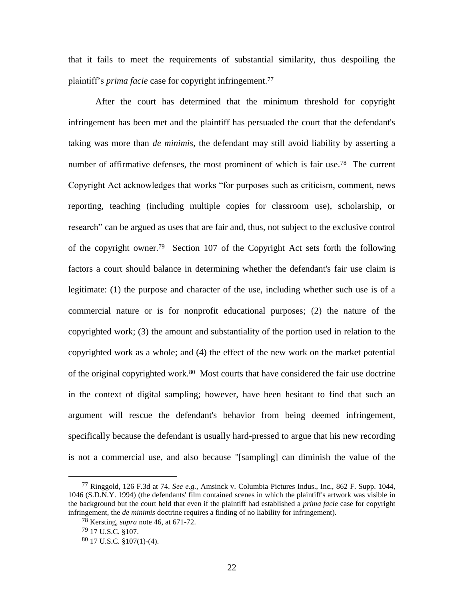that it fails to meet the requirements of substantial similarity, thus despoiling the plaintiff's *prima facie* case for copyright infringement.<sup>77</sup>

After the court has determined that the minimum threshold for copyright infringement has been met and the plaintiff has persuaded the court that the defendant's taking was more than *de minimis,* the defendant may still avoid liability by asserting a number of affirmative defenses, the most prominent of which is fair use.<sup>78</sup> The current Copyright Act acknowledges that works "for purposes such as criticism, comment, news reporting, teaching (including multiple copies for classroom use), scholarship, or research" can be argued as uses that are fair and, thus, not subject to the exclusive control of the copyright owner.<sup>79</sup> Section 107 of the Copyright Act sets forth the following factors a court should balance in determining whether the defendant's fair use claim is legitimate: (1) the purpose and character of the use, including whether such use is of a commercial nature or is for nonprofit educational purposes; (2) the nature of the copyrighted work; (3) the amount and substantiality of the portion used in relation to the copyrighted work as a whole; and (4) the effect of the new work on the market potential of the original copyrighted work.<sup>80</sup> Most courts that have considered the fair use doctrine in the context of digital sampling; however, have been hesitant to find that such an argument will rescue the defendant's behavior from being deemed infringement, specifically because the defendant is usually hard-pressed to argue that his new recording is not a commercial use, and also because "[sampling] can diminish the value of the

<sup>77</sup> Ringgold, 126 F.3d at 74. *See e.g.,* Amsinck v. Columbia Pictures Indus., Inc., 862 F. Supp. 1044, 1046 (S.D.N.Y. 1994) (the defendants' film contained scenes in which the plaintiff's artwork was visible in the background but the court held that even if the plaintiff had established a *prima facie* case for copyright infringement, the *de minimis* doctrine requires a finding of no liability for infringement).

<sup>78</sup> Kersting, *supra* note 46, at 671-72.

<sup>79</sup> 17 U.S.C. §107.

<sup>80</sup> 17 U.S.C. §107(1)-(4).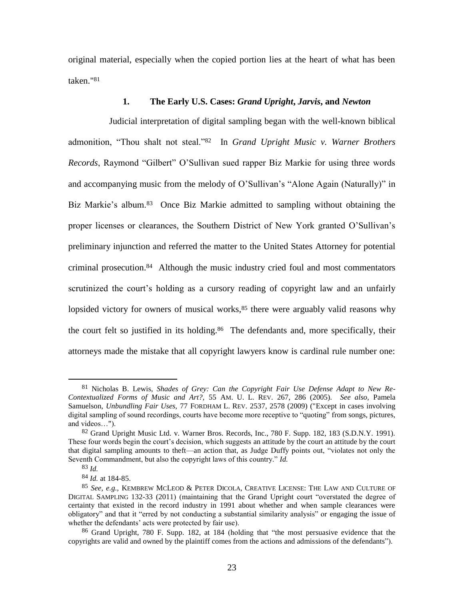original material, especially when the copied portion lies at the heart of what has been taken."<sup>81</sup>

#### **1. The Early U.S. Cases:** *Grand Upright***,** *Jarvis***, and** *Newton*

<span id="page-22-0"></span>Judicial interpretation of digital sampling began with the well-known biblical admonition, "Thou shalt not steal."<sup>82</sup> In *Grand Upright Music v. Warner Brothers Records*, Raymond "Gilbert" O'Sullivan sued rapper Biz Markie for using three words and accompanying music from the melody of O'Sullivan's "Alone Again (Naturally)" in Biz Markie's album.<sup>83</sup> Once Biz Markie admitted to sampling without obtaining the proper licenses or clearances, the Southern District of New York granted O'Sullivan's preliminary injunction and referred the matter to the United States Attorney for potential criminal prosecution.84 Although the music industry cried foul and most commentators scrutinized the court's holding as a cursory reading of copyright law and an unfairly lopsided victory for owners of musical works, $85$  there were arguably valid reasons why the court felt so justified in its holding.<sup>86</sup> The defendants and, more specifically, their attorneys made the mistake that all copyright lawyers know is cardinal rule number one:

<sup>81</sup> Nicholas B. Lewis, *Shades of Grey: Can the Copyright Fair Use Defense Adapt to New Re-Contextualized Forms of Music and Art?,* 55 AM. U. L. REV. 267, 286 (2005). *See also,* Pamela Samuelson, *Unbundling Fair Uses,* 77 FORDHAM L. REV. 2537, 2578 (2009) ("Except in cases involving digital sampling of sound recordings, courts have become more receptive to "quoting" from songs, pictures, and videos…").

<sup>82</sup> Grand Upright Music Ltd. v. Warner Bros. Records, Inc., 780 F. Supp. 182, 183 (S.D.N.Y. 1991). These four words begin the court's decision, which suggests an attitude by the court an attitude by the court that digital sampling amounts to theft—an action that, as Judge Duffy points out, "violates not only the Seventh Commandment, but also the copyright laws of this country." *Id.* 

<sup>83</sup> *Id.*

<sup>84</sup> *Id.* at 184-85.

<sup>85</sup> *See, e.g.,* KEMBREW MCLEOD & PETER DICOLA, CREATIVE LICENSE: THE LAW AND CULTURE OF DIGITAL SAMPLING 132-33 (2011) (maintaining that the Grand Upright court "overstated the degree of certainty that existed in the record industry in 1991 about whether and when sample clearances were obligatory" and that it "erred by not conducting a substantial similarity analysis" or engaging the issue of whether the defendants' acts were protected by fair use).

<sup>86</sup> Grand Upright, 780 F. Supp. 182, at 184 (holding that "the most persuasive evidence that the copyrights are valid and owned by the plaintiff comes from the actions and admissions of the defendants").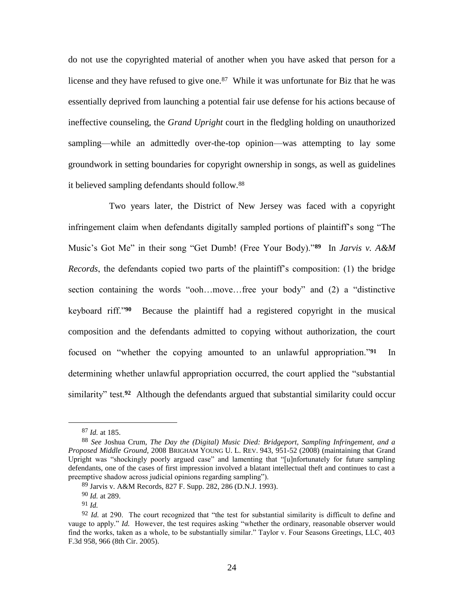do not use the copyrighted material of another when you have asked that person for a license and they have refused to give one.<sup>87</sup> While it was unfortunate for Biz that he was essentially deprived from launching a potential fair use defense for his actions because of ineffective counseling, the *Grand Upright* court in the fledgling holding on unauthorized sampling—while an admittedly over-the-top opinion—was attempting to lay some groundwork in setting boundaries for copyright ownership in songs, as well as guidelines it believed sampling defendants should follow.<sup>88</sup>

Two years later, the District of New Jersey was faced with a copyright infringement claim when defendants digitally sampled portions of plaintiff's song "The Music's Got Me" in their song "Get Dumb! (Free Your Body)."<sup>89</sup> In *Jarvis v. A&M Records*, the defendants copied two parts of the plaintiff's composition: (1) the bridge section containing the words "ooh...move...free your body" and  $(2)$  a "distinctive" keyboard riff."<sup>90</sup> Because the plaintiff had a registered copyright in the musical composition and the defendants admitted to copying without authorization, the court focused on "whether the copying amounted to an unlawful appropriation."<sup>91</sup> In determining whether unlawful appropriation occurred, the court applied the "substantial" similarity" test.<sup>92</sup> Although the defendants argued that substantial similarity could occur

<sup>87</sup> *Id.* at 185.

<sup>88</sup> *See* Joshua Crum, *The Day the (Digital) Music Died: Bridgeport, Sampling Infringement, and a Proposed Middle Ground,* 2008 BRIGHAM YOUNG U. L. REV. 943, 951-52 (2008) (maintaining that Grand Upright was "shockingly poorly argued case" and lamenting that "[u]nfortunately for future sampling defendants, one of the cases of first impression involved a blatant intellectual theft and continues to cast a preemptive shadow across judicial opinions regarding sampling").

<sup>89</sup> Jarvis v. A&M Records, 827 F. Supp. 282, 286 (D.N.J. 1993).

<sup>90</sup> *Id.* at 289.

<sup>91</sup> *Id.* 

<sup>92</sup> *Id.* at 290. The court recognized that "the test for substantial similarity is difficult to define and vauge to apply." *Id.* However, the test requires asking "whether the ordinary, reasonable observer would find the works, taken as a whole, to be substantially similar." Taylor v. Four Seasons Greetings, LLC, 403 F.3d 958, 966 (8th Cir. 2005).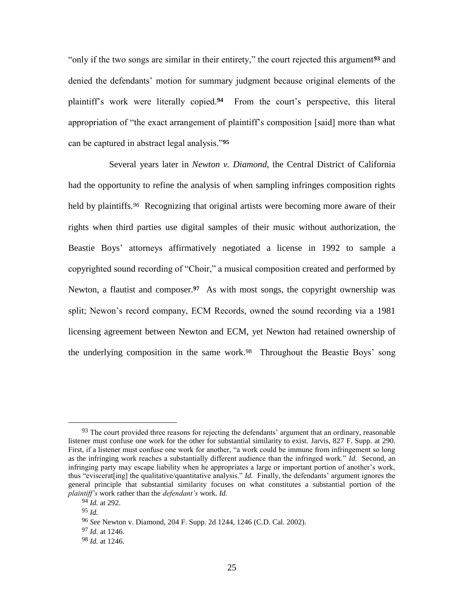"only if the two songs are similar in their entirety," the court rejected this argument<sup>93</sup> and denied the defendants' motion for summary judgment because original elements of the plaintiff's work were literally copied.**94** From the court's perspective, this literal appropriation of "the exact arrangement of plaintiff's composition [said] more than what can be captured in abstract legal analysis."<sup>95</sup>

Several years later in *Newton v. Diamond*, the Central District of California had the opportunity to refine the analysis of when sampling infringes composition rights held by plaintiffs.<sup>96</sup> Recognizing that original artists were becoming more aware of their rights when third parties use digital samples of their music without authorization, the Beastie Boys' attorneys affirmatively negotiated a license in 1992 to sample a copyrighted sound recording of "Choir," a musical composition created and performed by Newton, a flautist and composer.**97** As with most songs, the copyright ownership was split; Newon's record company, ECM Records, owned the sound recording via a 1981 licensing agreement between Newton and ECM, yet Newton had retained ownership of the underlying composition in the same work.<sup>98</sup> Throughout the Beastie Boys' song

<sup>&</sup>lt;sup>93</sup> The court provided three reasons for rejecting the defendants' argument that an ordinary, reasonable listener must confuse one work for the other for substantial similarity to exist. Jarvis, 827 F. Supp. at 290. First, if a listener must confuse one work for another, "a work could be immune from infringement so long as the infringing work reaches a substantially different audience than the infringed work." *Id.* Second, an infringing party may escape liability when he appropriates a large or important portion of another's work, thus "eviscerat[ing] the qualitative/quantitative analysis." *Id.* Finally, the defendants' argument ignores the general principle that substantial similarity focuses on what constitutes a substantial portion of the *plaintiff's* work rather than the *defendant's* work. *Id.*

<sup>94</sup> *Id.* at 292.

<sup>95</sup> *Id.*

<sup>96</sup> *See* Newton v. Diamond, 204 F. Supp. 2d 1244, 1246 (C.D. Cal. 2002).

<sup>97</sup> *Id.* at 1246.

<sup>98</sup> *Id.* at 1246.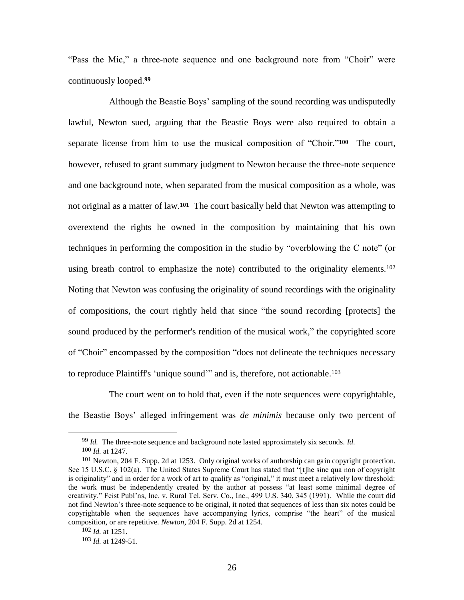"Pass the Mic," a three-note sequence and one background note from "Choir" were continuously looped.**<sup>99</sup>**

Although the Beastie Boys' sampling of the sound recording was undisputedly lawful, Newton sued, arguing that the Beastie Boys were also required to obtain a separate license from him to use the musical composition of "Choir."<sup>100</sup> The court, however, refused to grant summary judgment to Newton because the three-note sequence and one background note, when separated from the musical composition as a whole, was not original as a matter of law.**101** The court basically held that Newton was attempting to overextend the rights he owned in the composition by maintaining that his own techniques in performing the composition in the studio by "overblowing the C note" (or using breath control to emphasize the note) contributed to the originality elements.<sup>102</sup> Noting that Newton was confusing the originality of sound recordings with the originality of compositions, the court rightly held that since "the sound recording [protects] the sound produced by the performer's rendition of the musical work," the copyrighted score of "Choir" encompassed by the composition "does not delineate the techniques necessary to reproduce Plaintiff's 'unique sound'" and is, therefore, not actionable.<sup>103</sup>

The court went on to hold that, even if the note sequences were copyrightable, the Beastie Boys' alleged infringement was *de minimis* because only two percent of

<sup>99</sup> *Id.* The three-note sequence and background note lasted approximately six seconds. *Id.* 100 *Id.* at 1247.

<sup>101</sup> Newton, 204 F. Supp. 2d at 1253. Only original works of authorship can gain copyright protection. See 15 U.S.C.  $\S$  102(a). The United States Supreme Court has stated that "[t]he sine qua non of copyright is originality" and in order for a work of art to qualify as "original," it must meet a relatively low threshold: the work must be independently created by the author at possess "at least some minimal degree of creativity." Feist Publ'ns, Inc. v. Rural Tel. Serv. Co., Inc., 499 U.S. 340, 345 (1991). While the court did not find Newton's three-note sequence to be original, it noted that sequences of less than six notes could be copyrightable when the sequences have accompanying lyrics, comprise "the heart" of the musical composition, or are repetitive. *Newton*, 204 F. Supp. 2d at 1254.

<sup>102</sup> *Id.* at 1251.

<sup>103</sup> *Id.* at 1249-51.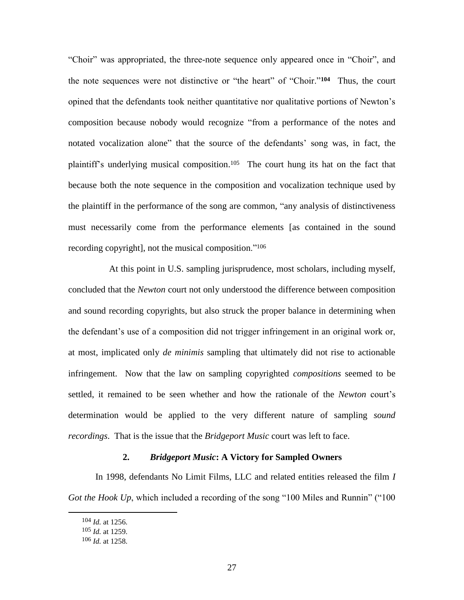"Choir" was appropriated, the three-note sequence only appeared once in "Choir", and the note sequences were not distinctive or "the heart" of "Choir."<sup>104</sup> Thus, the court opined that the defendants took neither quantitative nor qualitative portions of Newton's composition because nobody would recognize "from a performance of the notes and notated vocalization alone" that the source of the defendants' song was, in fact, the plaintiff's underlying musical composition. <sup>105</sup> The court hung its hat on the fact that because both the note sequence in the composition and vocalization technique used by the plaintiff in the performance of the song are common, "any analysis of distinctiveness" must necessarily come from the performance elements [as contained in the sound recording copyright], not the musical composition."<sup>106</sup>

At this point in U.S. sampling jurisprudence, most scholars, including myself, concluded that the *Newton* court not only understood the difference between composition and sound recording copyrights, but also struck the proper balance in determining when the defendant's use of a composition did not trigger infringement in an original work or, at most, implicated only *de minimis* sampling that ultimately did not rise to actionable infringement. Now that the law on sampling copyrighted *compositions* seemed to be settled, it remained to be seen whether and how the rationale of the *Newton* court's determination would be applied to the very different nature of sampling *sound recordings*. That is the issue that the *Bridgeport Music* court was left to face.

#### **2.** *Bridgeport Music***: A Victory for Sampled Owners**

<span id="page-26-0"></span>In 1998, defendants No Limit Films, LLC and related entities released the film *I Got the Hook Up*, which included a recording of the song "100 Miles and Runnin" ("100

<sup>104</sup> *Id.* at 1256.

<sup>105</sup> *Id.* at 1259.

<sup>106</sup> *Id.* at 1258.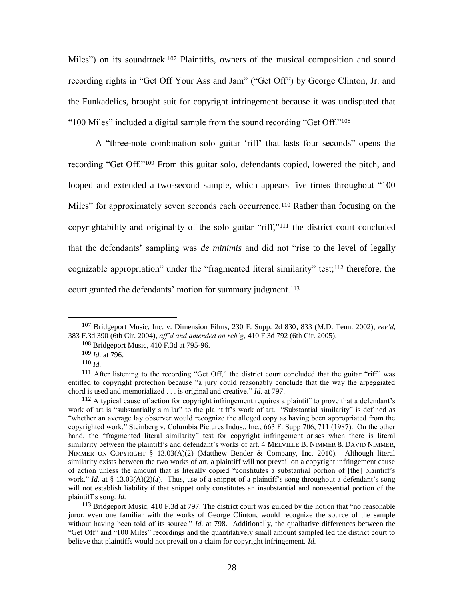Miles") on its soundtrack.<sup>107</sup> Plaintiffs, owners of the musical composition and sound recording rights in "Get Off Your Ass and Jam" ("Get Off") by George Clinton, Jr. and the Funkadelics, brought suit for copyright infringement because it was undisputed that "100 Miles" included a digital sample from the sound recording "Get Off."<sup>108</sup>

A "three-note combination solo guitar 'riff' that lasts four seconds" opens the recording "Get Off."<sup>109</sup> From this guitar solo, defendants copied, lowered the pitch, and looped and extended a two-second sample, which appears five times throughout "100 Miles" for approximately seven seconds each occurrence.<sup>110</sup> Rather than focusing on the copyrightability and originality of the solo guitar " $\pi$ iff,"<sup>111</sup> the district court concluded that the defendants' sampling was *de minimis* and did not "rise to the level of legally cognizable appropriation" under the "fragmented literal similarity" test;<sup>112</sup> therefore, the court granted the defendants' motion for summary judgment.<sup>113</sup>

<sup>107</sup> Bridgeport Music, Inc. v. Dimension Films, 230 F. Supp. 2d 830, 833 (M.D. Tenn. 2002), *rev'd*, 383 F.3d 390 (6th Cir. 2004), *aff'd and amended on reh'g*, 410 F.3d 792 (6th Cir. 2005).

<sup>108</sup> Bridgeport Music, 410 F.3d at 795-96.

<sup>109</sup> *Id.* at 796.

<sup>110</sup> *Id.*

 $111$  After listening to the recording "Get Off," the district court concluded that the guitar "riff" was entitled to copyright protection because "a jury could reasonably conclude that the way the arpeggiated chord is used and memorialized . . . is original and creative." *Id.* at 797.

<sup>112</sup> A typical cause of action for copyright infringement requires a plaintiff to prove that a defendant's work of art is "substantially similar" to the plaintiff's work of art. "Substantial similarity" is defined as ―whether an average lay observer would recognize the alleged copy as having been appropriated from the copyrighted work.‖ Steinberg v. Columbia Pictures Indus., Inc., 663 F. Supp 706, 711 (1987). On the other hand, the "fragmented literal similarity" test for copyright infringement arises when there is literal similarity between the plaintiff's and defendant's works of art. 4 MELVILLE B. NIMMER & DAVID NIMMER, NIMMER ON COPYRIGHT § 13.03(A)(2) (Matthew Bender & Company, Inc. 2010). Although literal similarity exists between the two works of art, a plaintiff will not prevail on a copyright infringement cause of action unless the amount that is literally copied "constitutes a substantial portion of [the] plaintiff's work." *Id.* at § 13.03(A)(2)(a). Thus, use of a snippet of a plaintiff's song throughout a defendant's song will not establish liability if that snippet only constitutes an insubstantial and nonessential portion of the plaintiff's song. *Id.*

<sup>&</sup>lt;sup>113</sup> Bridgeport Music, 410 F.3d at 797. The district court was guided by the notion that "no reasonable" juror, even one familiar with the works of George Clinton, would recognize the source of the sample without having been told of its source." *Id.* at 798. Additionally, the qualitative differences between the "Get Off" and "100 Miles" recordings and the quantitatively small amount sampled led the district court to believe that plaintiffs would not prevail on a claim for copyright infringement. *Id.*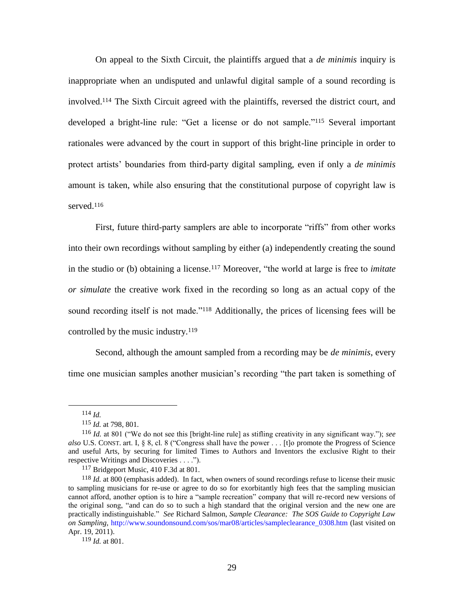On appeal to the Sixth Circuit, the plaintiffs argued that a *de minimis* inquiry is inappropriate when an undisputed and unlawful digital sample of a sound recording is involved.<sup>114</sup> The Sixth Circuit agreed with the plaintiffs, reversed the district court, and developed a bright-line rule: "Get a license or do not sample."<sup>115</sup> Several important rationales were advanced by the court in support of this bright-line principle in order to protect artists' boundaries from third-party digital sampling, even if only a *de minimis*  amount is taken, while also ensuring that the constitutional purpose of copyright law is served.<sup>116</sup>

First, future third-party samplers are able to incorporate "riffs" from other works into their own recordings without sampling by either (a) independently creating the sound in the studio or (b) obtaining a license.<sup>117</sup> Moreover, "the world at large is free to *imitate or simulate* the creative work fixed in the recording so long as an actual copy of the sound recording itself is not made."<sup>118</sup> Additionally, the prices of licensing fees will be controlled by the music industry.<sup>119</sup>

Second, although the amount sampled from a recording may be *de minimis*, every time one musician samples another musician's recording "the part taken is something of

<sup>114</sup> *Id.*

<sup>115</sup> *Id.* at 798, 801.

 $116$  *Id.* at 801 ("We do not see this [bright-line rule] as stifling creativity in any significant way."); see *also* U.S. CONST. art. I, § 8, cl. 8 ("Congress shall have the power . . . [t]o promote the Progress of Science and useful Arts, by securing for limited Times to Authors and Inventors the exclusive Right to their respective Writings and Discoveries . . . .").

<sup>117</sup> Bridgeport Music, 410 F.3d at 801.

<sup>118</sup> *Id.* at 800 (emphasis added). In fact, when owners of sound recordings refuse to license their music to sampling musicians for re-use or agree to do so for exorbitantly high fees that the sampling musician cannot afford, another option is to hire a "sample recreation" company that will re-record new versions of the original song, "and can do so to such a high standard that the original version and the new one are practically indistinguishable.‖ *See* Richard Salmon, *Sample Clearance: The SOS Guide to Copyright Law on Sampling,* [http://www.soundonsound.com/sos/mar08/articles/sampleclearance\\_0308.htm](http://www.soundonsound.com/sos/mar08/articles/sampleclearance_0308.htm) (last visited on Apr. 19, 2011).

<sup>119</sup> *Id.* at 801.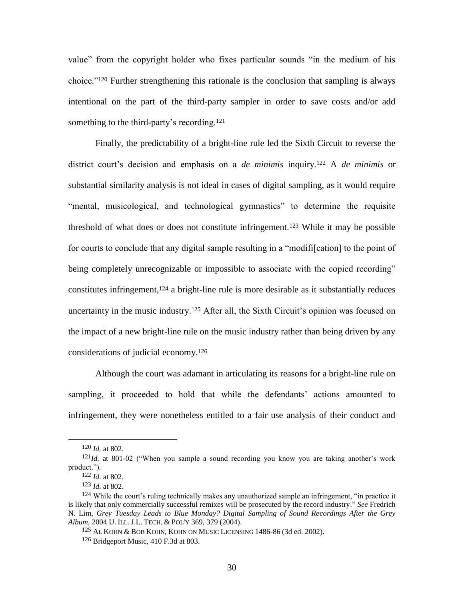value" from the copyright holder who fixes particular sounds "in the medium of his choice."<sup>120</sup> Further strengthening this rationale is the conclusion that sampling is always intentional on the part of the third-party sampler in order to save costs and/or add something to the third-party's recording.<sup>121</sup>

Finally, the predictability of a bright-line rule led the Sixth Circuit to reverse the district court's decision and emphasis on a *de minimis* inquiry.<sup>122</sup> A *de minimis* or substantial similarity analysis is not ideal in cases of digital sampling, as it would require "mental, musicological, and technological gymnastics" to determine the requisite threshold of what does or does not constitute infringement.<sup>123</sup> While it may be possible for courts to conclude that any digital sample resulting in a "modifi[cation] to the point of being completely unrecognizable or impossible to associate with the copied recording" constitutes infringement,<sup>124</sup> a bright-line rule is more desirable as it substantially reduces uncertainty in the music industry.<sup>125</sup> After all, the Sixth Circuit's opinion was focused on the impact of a new bright-line rule on the music industry rather than being driven by any considerations of judicial economy.<sup>126</sup>

Although the court was adamant in articulating its reasons for a bright-line rule on sampling, it proceeded to hold that while the defendants' actions amounted to infringement, they were nonetheless entitled to a fair use analysis of their conduct and

<sup>120</sup> *Id.* at 802.

 $121$ *Id.* at 801-02 ("When you sample a sound recording you know you are taking another's work product.").

<sup>122</sup> *Id.* at 802.

<sup>123</sup> *Id.* at 802.

<sup>124</sup> While the court's ruling technically makes any unauthorized sample an infringement, "in practice it is likely that only commercially successful remixes will be prosecuted by the record industry." See Fredrich N. Lim, *Grey Tuesday Leads to Blue Monday? Digital Sampling of Sound Recordings After the Grey Album,* 2004 U. ILL. J.L. TECH. & POL'Y 369, 379 (2004).

<sup>125</sup> AL KOHN & BOB KOHN, KOHN ON MUSIC LICENSING 1486-86 (3d ed. 2002).

<sup>126</sup> Bridgeport Music, 410 F.3d at 803.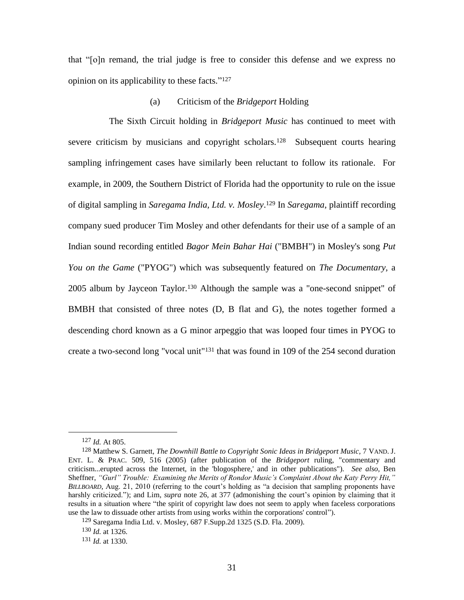that "[o]n remand, the trial judge is free to consider this defense and we express no opinion on its applicability to these facts."<sup>127</sup>

#### (a) Criticism of the *Bridgeport* Holding

The Sixth Circuit holding in *Bridgeport Music* has continued to meet with severe criticism by musicians and copyright scholars.<sup>128</sup> Subsequent courts hearing sampling infringement cases have similarly been reluctant to follow its rationale. For example, in 2009, the Southern District of Florida had the opportunity to rule on the issue of digital sampling in *Saregama India, Ltd. v. Mosley*. <sup>129</sup> In *Saregama*, plaintiff recording company sued producer Tim Mosley and other defendants for their use of a sample of an Indian sound recording entitled *Bagor Mein Bahar Hai* ("BMBH") in Mosley's song *Put You on the Game* ("PYOG") which was subsequently featured on *The Documentary,* a 2005 album by Jayceon Taylor.<sup>130</sup> Although the sample was a "one-second snippet" of BMBH that consisted of three notes (D, B flat and G), the notes together formed a descending chord known as a G minor arpeggio that was looped four times in PYOG to create a two-second long "vocal unit"<sup>131</sup> that was found in 109 of the 254 second duration

<sup>127</sup> *Id.* At 805.

<sup>128</sup> Matthew S. Garnett, *The Downhill Battle to Copyright Sonic Ideas in Bridgeport Music*, 7 VAND. J. ENT. L. & PRAC. 509, 516 (2005) (after publication of the *Bridgeport* ruling, "commentary and criticism...erupted across the Internet, in the 'blogosphere,' and in other publications"). *See also,* Ben Sheffner, *"Gurl" Trouble: Examining the Merits of Rondor Music's Complaint About the Katy Perry Hit," BILLBOARD*, Aug. 21, 2010 (referring to the court's holding as "a decision that sampling proponents have harshly criticized."); and Lim, *supra* note 26, at 377 (admonishing the court's opinion by claiming that it results in a situation where "the spirit of copyright law does not seem to apply when faceless corporations use the law to dissuade other artists from using works within the corporations' control").

<sup>129</sup> Saregama India Ltd. v. Mosley, 687 F.Supp.2d 1325 (S.D. Fla. 2009).

<sup>130</sup> *Id.* at 1326.

<sup>131</sup> *Id.* at 1330.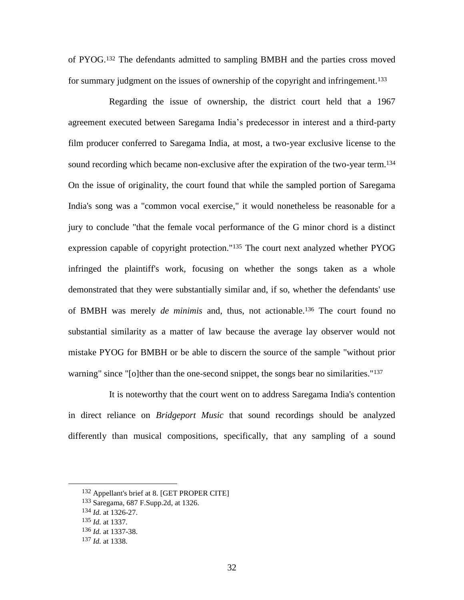of PYOG.<sup>132</sup> The defendants admitted to sampling BMBH and the parties cross moved for summary judgment on the issues of ownership of the copyright and infringement.<sup>133</sup>

Regarding the issue of ownership, the district court held that a 1967 agreement executed between Saregama India's predecessor in interest and a third-party film producer conferred to Saregama India, at most, a two-year exclusive license to the sound recording which became non-exclusive after the expiration of the two-year term.<sup>134</sup> On the issue of originality, the court found that while the sampled portion of Saregama India's song was a "common vocal exercise," it would nonetheless be reasonable for a jury to conclude "that the female vocal performance of the G minor chord is a distinct expression capable of copyright protection."<sup>135</sup> The court next analyzed whether PYOG infringed the plaintiff's work, focusing on whether the songs taken as a whole demonstrated that they were substantially similar and, if so, whether the defendants' use of BMBH was merely *de minimis* and, thus, not actionable.<sup>136</sup> The court found no substantial similarity as a matter of law because the average lay observer would not mistake PYOG for BMBH or be able to discern the source of the sample "without prior warning" since "[o]ther than the one-second snippet, the songs bear no similarities."<sup>137</sup>

It is noteworthy that the court went on to address Saregama India's contention in direct reliance on *Bridgeport Music* that sound recordings should be analyzed differently than musical compositions, specifically, that any sampling of a sound

<sup>132</sup> Appellant's brief at 8. [GET PROPER CITE]

<sup>133</sup> Saregama, 687 F.Supp.2d, at 1326.

<sup>134</sup> *Id.* at 1326-27.

<sup>135</sup> *Id.* at 1337.

<sup>136</sup> *Id.* at 1337-38.

<sup>137</sup> *Id.* at 1338.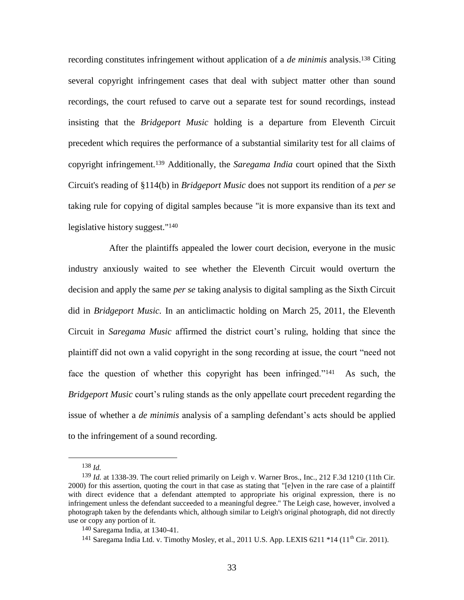recording constitutes infringement without application of a *de minimis* analysis.<sup>138</sup> Citing several copyright infringement cases that deal with subject matter other than sound recordings, the court refused to carve out a separate test for sound recordings, instead insisting that the *Bridgeport Music* holding is a departure from Eleventh Circuit precedent which requires the performance of a substantial similarity test for all claims of copyright infringement.<sup>139</sup> Additionally, the *Saregama India* court opined that the Sixth Circuit's reading of §114(b) in *Bridgeport Music* does not support its rendition of a *per se*  taking rule for copying of digital samples because "it is more expansive than its text and legislative history suggest." 140

After the plaintiffs appealed the lower court decision, everyone in the music industry anxiously waited to see whether the Eleventh Circuit would overturn the decision and apply the same *per se* taking analysis to digital sampling as the Sixth Circuit did in *Bridgeport Music.* In an anticlimactic holding on March 25, 2011, the Eleventh Circuit in *Saregama Music* affirmed the district court's ruling, holding that since the plaintiff did not own a valid copyright in the song recording at issue, the court "need not face the question of whether this copyright has been infringed." $141$  As such, the *Bridgeport Music* court's ruling stands as the only appellate court precedent regarding the issue of whether a *de minimis* analysis of a sampling defendant's acts should be applied to the infringement of a sound recording.

<sup>138</sup> *Id.*

<sup>139</sup> *Id.* at 1338-39. The court relied primarily on Leigh v. Warner Bros., Inc., 212 F.3d 1210 (11th Cir. 2000) for this assertion, quoting the court in that case as stating that "[e]ven in the rare case of a plaintiff with direct evidence that a defendant attempted to appropriate his original expression, there is no infringement unless the defendant succeeded to a meaningful degree." The Leigh case, however, involved a photograph taken by the defendants which, although similar to Leigh's original photograph, did not directly use or copy any portion of it.

<sup>140</sup> Saregama India, at 1340-41.

<sup>&</sup>lt;sup>141</sup> Saregama India Ltd. v. Timothy Mosley, et al., 2011 U.S. App. LEXIS 6211  $*14$  (11<sup>th</sup> Cir. 2011).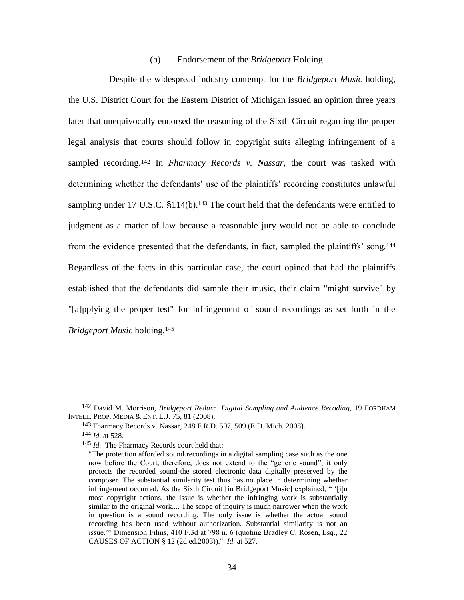#### (b) Endorsement of the *Bridgeport* Holding

Despite the widespread industry contempt for the *Bridgeport Music* holding, the U.S. District Court for the Eastern District of Michigan issued an opinion three years later that unequivocally endorsed the reasoning of the Sixth Circuit regarding the proper legal analysis that courts should follow in copyright suits alleging infringement of a sampled recording.<sup>142</sup> In *Fharmacy Records v. Nassar,* the court was tasked with determining whether the defendants' use of the plaintiffs' recording constitutes unlawful sampling under 17 U.S.C.  $\S$ 114(b).<sup>143</sup> The court held that the defendants were entitled to judgment as a matter of law because a reasonable jury would not be able to conclude from the evidence presented that the defendants, in fact, sampled the plaintiffs' song.<sup>144</sup> Regardless of the facts in this particular case, the court opined that had the plaintiffs established that the defendants did sample their music, their claim "might survive" by "[a]pplying the proper test" for infringement of sound recordings as set forth in the *Bridgeport Music* holding.<sup>145</sup>

<sup>142</sup> David M. Morrison, *Bridgeport Redux: Digital Sampling and Audience Recoding,* 19 FORDHAM INTELL. PROP. MEDIA & ENT. L.J. 75, 81 (2008).

<sup>143</sup> Fharmacy Records v. Nassar, 248 F.R.D. 507, 509 (E.D. Mich. 2008).

<sup>144</sup> *Id.* at 528.

<sup>145</sup> *Id.* The Fharmacy Records court held that:

<sup>&</sup>quot;The protection afforded sound recordings in a digital sampling case such as the one now before the Court, therefore, does not extend to the "generic sound"; it only protects the recorded sound-the stored electronic data digitally preserved by the composer. The substantial similarity test thus has no place in determining whether infringement occurred. As the Sixth Circuit [in Bridgeport Music] explained, " '[i]n most copyright actions, the issue is whether the infringing work is substantially similar to the original work.... The scope of inquiry is much narrower when the work in question is a sound recording. The only issue is whether the actual sound recording has been used without authorization. Substantial similarity is not an issue." Dimension Films, 410 F.3d at 798 n. 6 (quoting Bradley C. Rosen, Esq., 22 CAUSES OF ACTION § 12 (2d ed.2003))." *Id.* at 527.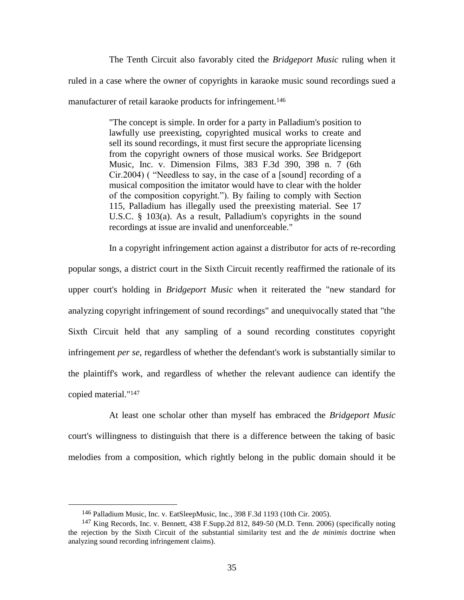The Tenth Circuit also favorably cited the *Bridgeport Music* ruling when it ruled in a case where the owner of copyrights in karaoke music sound recordings sued a manufacturer of retail karaoke products for infringement. <sup>146</sup>

> "The concept is simple. In order for a party in Palladium's position to lawfully use preexisting, copyrighted musical works to create and sell its sound recordings, it must first secure the appropriate licensing from the copyright owners of those musical works. *See* Bridgeport Music, Inc. v. Dimension Films, 383 F.3d 390, 398 n. 7 (6th  $Cir.2004$ ) ( "Needless to say, in the case of a [sound] recording of a musical composition the imitator would have to clear with the holder of the composition copyright."). By failing to comply with Section 115, Palladium has illegally used the preexisting material. See 17 U.S.C. § 103(a). As a result, Palladium's copyrights in the sound recordings at issue are invalid and unenforceable."

In a copyright infringement action against a distributor for acts of re-recording popular songs, a district court in the Sixth Circuit recently reaffirmed the rationale of its upper court's holding in *Bridgeport Music* when it reiterated the "new standard for analyzing copyright infringement of sound recordings" and unequivocally stated that "the Sixth Circuit held that any sampling of a sound recording constitutes copyright infringement *per se*, regardless of whether the defendant's work is substantially similar to the plaintiff's work, and regardless of whether the relevant audience can identify the copied material."<sup>147</sup>

At least one scholar other than myself has embraced the *Bridgeport Music* court's willingness to distinguish that there is a difference between the taking of basic melodies from a composition, which rightly belong in the public domain should it be

<sup>146</sup> Palladium Music, Inc. v. EatSleepMusic, Inc., 398 F.3d 1193 (10th Cir. 2005).

<sup>147</sup> King Records, Inc. v. Bennett, 438 F.Supp.2d 812, 849-50 (M.D. Tenn. 2006) (specifically noting the rejection by the Sixth Circuit of the substantial similarity test and the *de minimis* doctrine when analyzing sound recording infringement claims).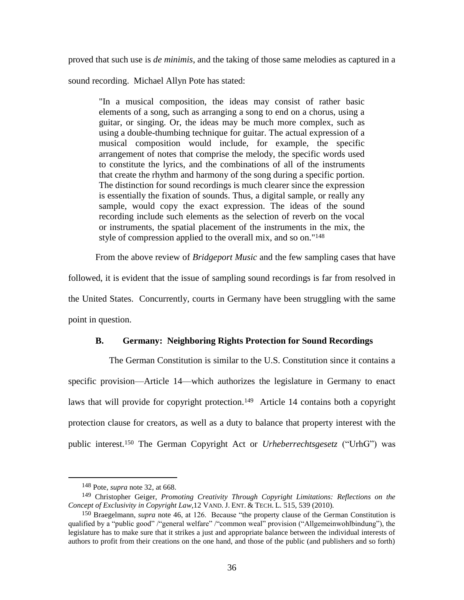proved that such use is *de minimis*, and the taking of those same melodies as captured in a

sound recording. Michael Allyn Pote has stated:

"In a musical composition, the ideas may consist of rather basic elements of a song, such as arranging a song to end on a chorus, using a guitar, or singing. Or, the ideas may be much more complex, such as using a double-thumbing technique for guitar. The actual expression of a musical composition would include, for example, the specific arrangement of notes that comprise the melody, the specific words used to constitute the lyrics, and the combinations of all of the instruments that create the rhythm and harmony of the song during a specific portion. The distinction for sound recordings is much clearer since the expression is essentially the fixation of sounds. Thus, a digital sample, or really any sample, would copy the exact expression. The ideas of the sound recording include such elements as the selection of reverb on the vocal or instruments, the spatial placement of the instruments in the mix, the style of compression applied to the overall mix, and so on." 148

From the above review of *Bridgeport Music* and the few sampling cases that have

followed, it is evident that the issue of sampling sound recordings is far from resolved in

the United States. Concurrently, courts in Germany have been struggling with the same

<span id="page-35-0"></span>point in question.

#### **B. Germany: Neighboring Rights Protection for Sound Recordings**

The German Constitution is similar to the U.S. Constitution since it contains a specific provision—Article 14—which authorizes the legislature in Germany to enact laws that will provide for copyright protection.<sup>149</sup> Article 14 contains both a copyright protection clause for creators, as well as a duty to balance that property interest with the public interest.<sup>150</sup> The German Copyright Act or *Urheberrechtsgesetz* ("UrhG") was

<sup>148</sup> Pote, *supra* note 32, at 668.

<sup>149</sup> Christopher Geiger, *Promoting Creativity Through Copyright Limitations: Reflections on the Concept of Exclusivity in Copyright Law,*12 VAND. J. ENT. & TECH. L. 515, 539 (2010).

<sup>&</sup>lt;sup>150</sup> Braegelmann, *supra* note 46, at 126. Because "the property clause of the German Constitution is qualified by a "public good" / "general welfare" / "common weal" provision ("Allgemeinwohlbindung"), the legislature has to make sure that it strikes a just and appropriate balance between the individual interests of authors to profit from their creations on the one hand, and those of the public (and publishers and so forth)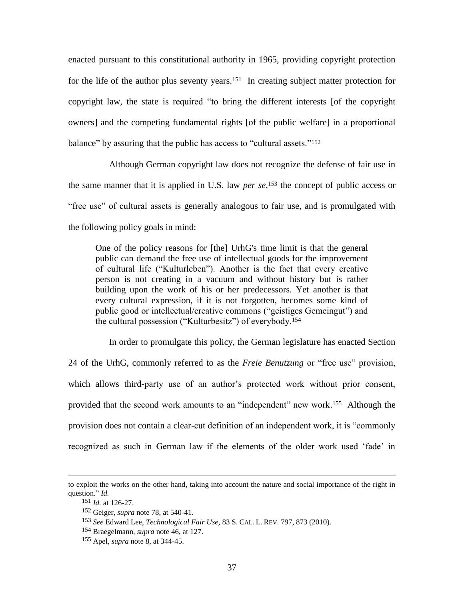enacted pursuant to this constitutional authority in 1965, providing copyright protection for the life of the author plus seventy years.151 In creating subject matter protection for copyright law, the state is required "to bring the different interests [of the copyright owners] and the competing fundamental rights [of the public welfare] in a proportional balance" by assuring that the public has access to "cultural assets."<sup>152</sup>

Although German copyright law does not recognize the defense of fair use in the same manner that it is applied in U.S. law *per se*, <sup>153</sup> the concept of public access or ―free use‖ of cultural assets is generally analogous to fair use, and is promulgated with the following policy goals in mind:

One of the policy reasons for [the] UrhG's time limit is that the general public can demand the free use of intellectual goods for the improvement of cultural life ("Kulturleben"). Another is the fact that every creative person is not creating in a vacuum and without history but is rather building upon the work of his or her predecessors. Yet another is that every cultural expression, if it is not forgotten, becomes some kind of public good or intellectual/creative commons ("geistiges Gemeingut") and the cultural possession ("Kulturbesitz") of everybody.<sup>154</sup>

In order to promulgate this policy, the German legislature has enacted Section 24 of the UrhG, commonly referred to as the *Freie Benutzung* or "free use" provision, which allows third-party use of an author's protected work without prior consent, provided that the second work amounts to an "independent" new work.<sup>155</sup> Although the provision does not contain a clear-cut definition of an independent work, it is "commonly" recognized as such in German law if the elements of the older work used 'fade' in

to exploit the works on the other hand, taking into account the nature and social importance of the right in question." *Id.* 

<sup>151</sup> *Id.* at 126-27.

<sup>152</sup> Geiger, *supra* note 78, at 540-41.

<sup>153</sup> *See* Edward Lee, *Technological Fair Use,* 83 S. CAL. L. REV. 797, 873 (2010).

<sup>154</sup> Braegelmann, *supra* note 46, at 127.

<sup>155</sup> Apel, *supra* note 8, at 344-45.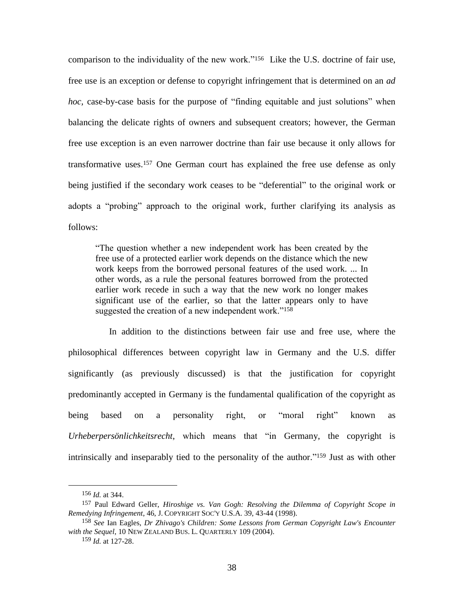comparison to the individuality of the new work."<sup>156</sup> Like the U.S. doctrine of fair use, free use is an exception or defense to copyright infringement that is determined on an *ad hoc,* case-by-case basis for the purpose of "finding equitable and just solutions" when balancing the delicate rights of owners and subsequent creators; however, the German free use exception is an even narrower doctrine than fair use because it only allows for transformative uses.<sup>157</sup> One German court has explained the free use defense as only being justified if the secondary work ceases to be "deferential" to the original work or adopts a "probing" approach to the original work, further clarifying its analysis as follows:

―The question whether a new independent work has been created by the free use of a protected earlier work depends on the distance which the new work keeps from the borrowed personal features of the used work. ... In other words, as a rule the personal features borrowed from the protected earlier work recede in such a way that the new work no longer makes significant use of the earlier, so that the latter appears only to have suggested the creation of a new independent work."<sup>158</sup>

In addition to the distinctions between fair use and free use, where the philosophical differences between copyright law in Germany and the U.S. differ significantly (as previously discussed) is that the justification for copyright predominantly accepted in Germany is the fundamental qualification of the copyright as being based on a personality right, or "moral right" known as *Urheberpersönlichkeitsrecht*, which means that "in Germany, the copyright is intrinsically and inseparably tied to the personality of the author."<sup>159</sup> Just as with other

<sup>156</sup> *Id.* at 344.

<sup>157</sup> Paul Edward Geller, *Hiroshige vs. Van Gogh: Resolving the Dilemma of Copyright Scope in Remedying Infringement*, 46, J. COPYRIGHT SOC'Y U.S.A. 39, 43-44 (1998).

<sup>158</sup> *See* Ian Eagles, *Dr Zhivago's Children: Some Lessons from German Copyright Law's Encounter with the Sequel*, 10 NEW ZEALAND BUS. L. QUARTERLY 109 (2004).

<sup>159</sup> *Id.* at 127-28.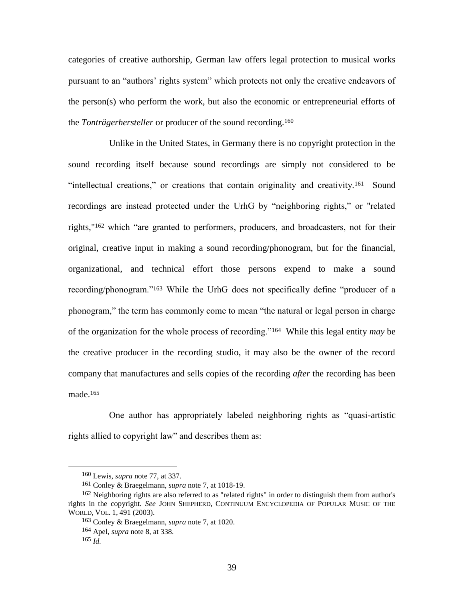categories of creative authorship, German law offers legal protection to musical works pursuant to an "authors' rights system" which protects not only the creative endeavors of the person(s) who perform the work, but also the economic or entrepreneurial efforts of the *Tonträgerhersteller* or producer of the sound recording.<sup>160</sup>

Unlike in the United States, in Germany there is no copyright protection in the sound recording itself because sound recordings are simply not considered to be "intellectual creations," or creations that contain originality and creativity.<sup>161</sup> Sound recordings are instead protected under the UrhG by "neighboring rights," or "related rights,"<sup>162</sup> which "are granted to performers, producers, and broadcasters, not for their original, creative input in making a sound recording/phonogram, but for the financial, organizational, and technical effort those persons expend to make a sound recording/phonogram."<sup>163</sup> While the UrhG does not specifically define "producer of a phonogram," the term has commonly come to mean "the natural or legal person in charge of the organization for the whole process of recording.<sup>"164</sup> While this legal entity *may* be the creative producer in the recording studio, it may also be the owner of the record company that manufactures and sells copies of the recording *after* the recording has been made.<sup>165</sup>

One author has appropriately labeled neighboring rights as "quasi-artistic rights allied to copyright law" and describes them as:

<sup>160</sup> Lewis, *supra* note 77, at 337.

<sup>161</sup> Conley & Braegelmann, *supra* note 7, at 1018-19.

<sup>&</sup>lt;sup>162</sup> Neighboring rights are also referred to as "related rights" in order to distinguish them from author's rights in the copyright. *See* JOHN SHEPHERD, CONTINUUM ENCYCLOPEDIA OF POPULAR MUSIC OF THE WORLD, VOL. 1, 491 (2003).

<sup>163</sup> Conley & Braegelmann, *supra* note 7, at 1020.

<sup>164</sup> Apel, *supra* note 8, at 338.

<sup>165</sup> *Id.*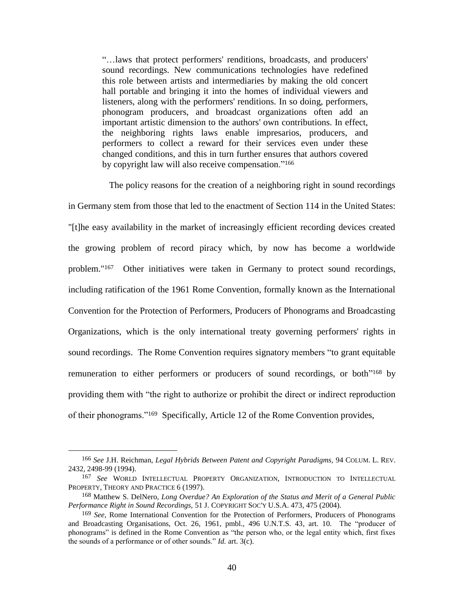―…laws that protect performers' renditions, broadcasts, and producers' sound recordings. New communications technologies have redefined this role between artists and intermediaries by making the old concert hall portable and bringing it into the homes of individual viewers and listeners, along with the performers' renditions. In so doing, performers, phonogram producers, and broadcast organizations often add an important artistic dimension to the authors' own contributions. In effect, the neighboring rights laws enable impresarios, producers, and performers to collect a reward for their services even under these changed conditions, and this in turn further ensures that authors covered by copyright law will also receive compensation."<sup>166</sup>

The policy reasons for the creation of a neighboring right in sound recordings in Germany stem from those that led to the enactment of Section 114 in the United States: "[t]he easy availability in the market of increasingly efficient recording devices created the growing problem of record piracy which, by now has become a worldwide problem."167 Other initiatives were taken in Germany to protect sound recordings, including ratification of the 1961 Rome Convention, formally known as the International Convention for the Protection of Performers, Producers of Phonograms and Broadcasting Organizations, which is the only international treaty governing performers' rights in sound recordings. The Rome Convention requires signatory members "to grant equitable remuneration to either performers or producers of sound recordings, or both"<sup>168</sup> by providing them with "the right to authorize or prohibit the direct or indirect reproduction of their phonograms."<sup>169</sup> Specifically, Article 12 of the Rome Convention provides,

<sup>166</sup> *See* J.H. Reichman, *Legal Hybrids Between Patent and Copyright Paradigms,* 94 COLUM. L. REV. 2432, 2498-99 (1994).

<sup>167</sup> *See* WORLD INTELLECTUAL PROPERTY ORGANIZATION, INTRODUCTION TO INTELLECTUAL PROPERTY, THEORY AND PRACTICE 6 (1997).

<sup>168</sup> Matthew S. DelNero, *Long Overdue? An Exploration of the Status and Merit of a General Public Performance Right in Sound Recordings,* 51 J. COPYRIGHT SOC'Y U.S.A. 473, 475 (2004).

<sup>169</sup> *See*, Rome International Convention for the Protection of Performers, Producers of Phonograms and Broadcasting Organisations, Oct. 26, 1961, pmbl., 496 U.N.T.S. 43, art. 10. The "producer of phonograms" is defined in the Rome Convention as "the person who, or the legal entity which, first fixes the sounds of a performance or of other sounds." *Id.* art. 3(c).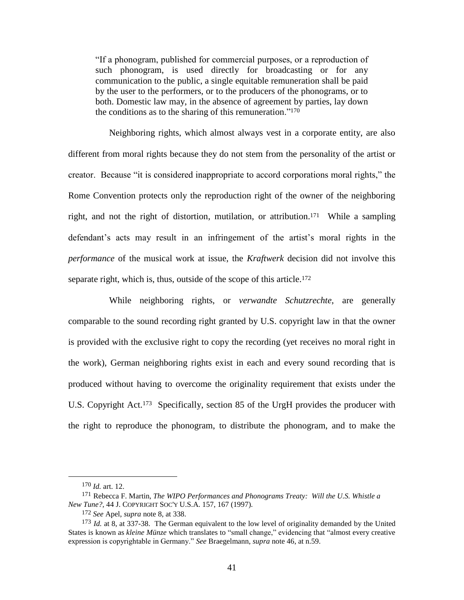―If a phonogram, published for commercial purposes, or a reproduction of such phonogram, is used directly for broadcasting or for any communication to the public, a single equitable remuneration shall be paid by the user to the performers, or to the producers of the phonograms, or to both. Domestic law may, in the absence of agreement by parties, lay down the conditions as to the sharing of this remuneration." $170$ 

Neighboring rights, which almost always vest in a corporate entity, are also different from moral rights because they do not stem from the personality of the artist or creator. Because "it is considered inappropriate to accord corporations moral rights," the Rome Convention protects only the reproduction right of the owner of the neighboring right, and not the right of distortion, mutilation, or attribution.171 While a sampling defendant's acts may result in an infringement of the artist's moral rights in the *performance* of the musical work at issue, the *Kraftwerk* decision did not involve this separate right, which is, thus, outside of the scope of this article.<sup>172</sup>

While neighboring rights, or *verwandte Schutzrechte*, are generally comparable to the sound recording right granted by U.S. copyright law in that the owner is provided with the exclusive right to copy the recording (yet receives no moral right in the work), German neighboring rights exist in each and every sound recording that is produced without having to overcome the originality requirement that exists under the U.S. Copyright Act.<sup>173</sup> Specifically, section 85 of the UrgH provides the producer with the right to reproduce the phonogram, to distribute the phonogram, and to make the

<sup>170</sup> *Id.* art. 12.

<sup>171</sup> Rebecca F. Martin, *The WIPO Performances and Phonograms Treaty: Will the U.S. Whistle a New Tune?,* 44 J. COPYRIGHT SOC'Y U.S.A. 157, 167 (1997).

<sup>172</sup> *See* Apel, *supra* note 8, at 338.

<sup>173</sup> *Id.* at 8, at 337-38. The German equivalent to the low level of originality demanded by the United States is known as *kleine Münze* which translates to "small change," evidencing that "almost every creative expression is copyrightable in Germany." See Braegelmann, *supra* note 46, at n.59.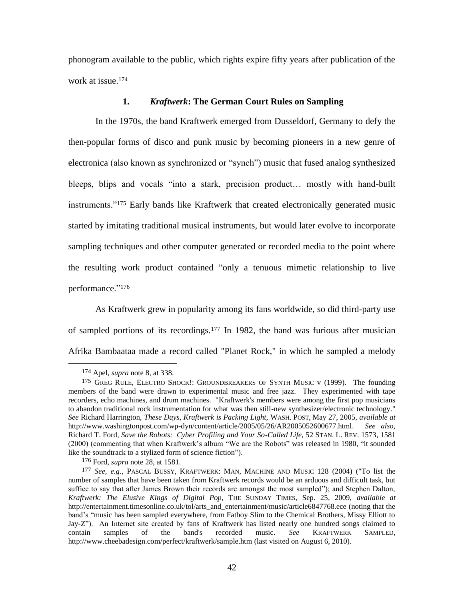phonogram available to the public, which rights expire fifty years after publication of the work at issue.<sup>174</sup>

#### **1.** *Kraftwerk***: The German Court Rules on Sampling**

<span id="page-41-0"></span>In the 1970s, the band Kraftwerk emerged from Dusseldorf, Germany to defy the then-popular forms of disco and punk music by becoming pioneers in a new genre of electronica (also known as synchronized or "synch") music that fused analog synthesized bleeps, blips and vocals "into a stark, precision product... mostly with hand-built instruments."<sup>175</sup> Early bands like Kraftwerk that created electronically generated music started by imitating traditional musical instruments, but would later evolve to incorporate sampling techniques and other computer generated or recorded media to the point where the resulting work product contained "only a tenuous mimetic relationship to live performance."176

As Kraftwerk grew in popularity among its fans worldwide, so did third-party use of sampled portions of its recordings.<sup>177</sup> In 1982, the band was furious after musician Afrika Bambaataa made a record called "Planet Rock," in which he sampled a melody

<sup>174</sup> Apel, *supra* note 8, at 338.

<sup>&</sup>lt;sup>175</sup> GREG RULE, ELECTRO SHOCK!: GROUNDBREAKERS OF SYNTH MUSIC v (1999). The founding members of the band were drawn to experimental music and free jazz. They experimented with tape recorders, echo machines, and drum machines. "Kraftwerk's members were among the first pop musicians to abandon traditional rock instrumentation for what was then still-new synthesizer/electronic technology." *See* Richard Harrington, *These Days, Kraftwerk is Packing Light,* WASH. POST, May 27, 2005, *available at*  http://www.washingtonpost.com/wp-dyn/content/article/2005/05/26/AR2005052600677.html. *See also,*  Richard T. Ford, *Save the Robots: Cyber Profiling and Your So-Called Life,* 52 STAN. L. REV. 1573, 1581 (2000) (commenting that when Kraftwerk's album "We are the Robots" was released in 1980, "it sounded like the soundtrack to a stylized form of science fiction").

<sup>176</sup> Ford, *supra* note 28, at 1581.

<sup>177</sup> *See, e.g.,* PASCAL BUSSY, KRAFTWERK: MAN, MACHINE AND MUSIC 128 (2004) ("To list the number of samples that have been taken from Kraftwerk records would be an arduous and difficult task, but suffice to say that after James Brown their records are amongst the most sampled"); and Stephen Dalton, *Kraftwerk: The Elusive Kings of Digital Pop,* THE SUNDAY TIMES, Sep. 25, 2009, *available at* http://entertainment.timesonline.co.uk/tol/arts\_and\_entertainment/music/article6847768.ece (noting that the band's "music has been sampled everywhere, from Fatboy Slim to the Chemical Brothers, Missy Elliott to Jay-Z"). An Internet site created by fans of Kraftwerk has listed nearly one hundred songs claimed to contain samples of the band's recorded music. *See* KRAFTWERK SAMPLED, http://www.cheebadesign.com/perfect/kraftwerk/sample.htm (last visited on August 6, 2010).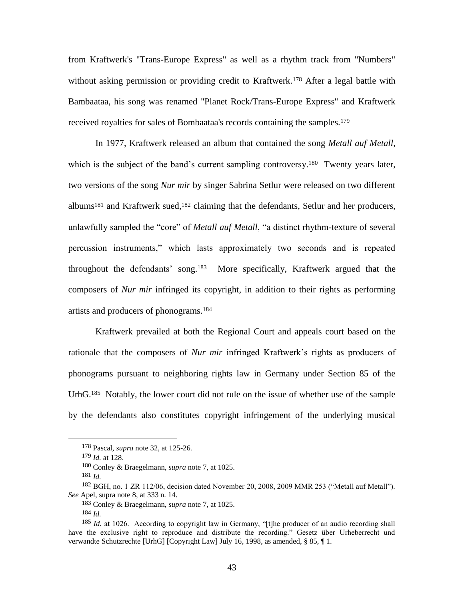from Kraftwerk's "Trans-Europe Express" as well as a rhythm track from "Numbers" without asking permission or providing credit to Kraftwerk.<sup>178</sup> After a legal battle with Bambaataa, his song was renamed "Planet Rock/Trans-Europe Express" and Kraftwerk received royalties for sales of Bombaataa's records containing the samples.<sup>179</sup>

In 1977, Kraftwerk released an album that contained the song *Metall auf Metall*, which is the subject of the band's current sampling controversy.<sup>180</sup> Twenty years later, two versions of the song *Nur mir* by singer Sabrina Setlur were released on two different albums<sup>181</sup> and Kraftwerk sued,<sup>182</sup> claiming that the defendants, Setlur and her producers, unlawfully sampled the "core" of *Metall auf Metall*, "a distinct rhythm-texture of several percussion instruments," which lasts approximately two seconds and is repeated throughout the defendants' song.183 More specifically, Kraftwerk argued that the composers of *Nur mir* infringed its copyright, in addition to their rights as performing artists and producers of phonograms.<sup>184</sup>

Kraftwerk prevailed at both the Regional Court and appeals court based on the rationale that the composers of *Nur mir* infringed Kraftwerk's rights as producers of phonograms pursuant to neighboring rights law in Germany under Section 85 of the UrhG.<sup>185</sup> Notably, the lower court did not rule on the issue of whether use of the sample by the defendants also constitutes copyright infringement of the underlying musical

<sup>178</sup> Pascal, *supra* note 32, at 125-26*.*

<sup>179</sup> *Id.* at 128.

<sup>180</sup> Conley & Braegelmann, *supra* note 7, at 1025.

<sup>181</sup> *Id.*

 $182$  BGH, no. 1 ZR 112/06, decision dated November 20, 2008, 2009 MMR 253 ("Metall auf Metall"). *See* Apel, supra note 8, at 333 n. 14.

<sup>183</sup> Conley & Braegelmann, *supra* note 7, at 1025.

 $184$  *Id.* 

<sup>185</sup> *Id.* at 1026. According to copyright law in Germany, "[t]he producer of an audio recording shall have the exclusive right to reproduce and distribute the recording." Gesetz über Urheberrecht und verwandte Schutzrechte [UrhG] [Copyright Law] July 16, 1998, as amended, § 85, ¶ 1.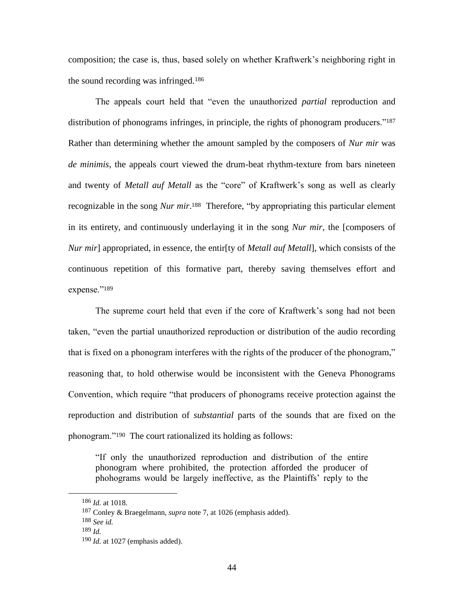composition; the case is, thus, based solely on whether Kraftwerk's neighboring right in the sound recording was infringed.<sup>186</sup>

The appeals court held that "even the unauthorized *partial* reproduction and distribution of phonograms infringes, in principle, the rights of phonogram producers.<sup> $187$ </sup> Rather than determining whether the amount sampled by the composers of *Nur mir* was *de minimis*, the appeals court viewed the drum-beat rhythm-texture from bars nineteen and twenty of *Metall auf Metall* as the "core" of Kraftwerk's song as well as clearly recognizable in the song *Nur mir*.<sup>188</sup> Therefore, "by appropriating this particular element in its entirety, and continuously underlaying it in the song *Nur mir*, the [composers of *Nur mir*] appropriated, in essence, the entir[ty of *Metall auf Metall*], which consists of the continuous repetition of this formative part, thereby saving themselves effort and expense."189

The supreme court held that even if the core of Kraftwerk's song had not been taken, "even the partial unauthorized reproduction or distribution of the audio recording that is fixed on a phonogram interferes with the rights of the producer of the phonogram," reasoning that, to hold otherwise would be inconsistent with the Geneva Phonograms Convention, which require "that producers of phonograms receive protection against the reproduction and distribution of *substantial* parts of the sounds that are fixed on the phonogram."<sup>190</sup> The court rationalized its holding as follows:

―If only the unauthorized reproduction and distribution of the entire phonogram where prohibited, the protection afforded the producer of phohograms would be largely ineffective, as the Plaintiffs' reply to the

<sup>186</sup> *Id.* at 1018.

<sup>187</sup> Conley & Braegelmann, *supra* note 7, at 1026 (emphasis added).

<sup>188</sup> *See id.*

<sup>189</sup> *Id.*

<sup>190</sup> *Id.* at 1027 (emphasis added).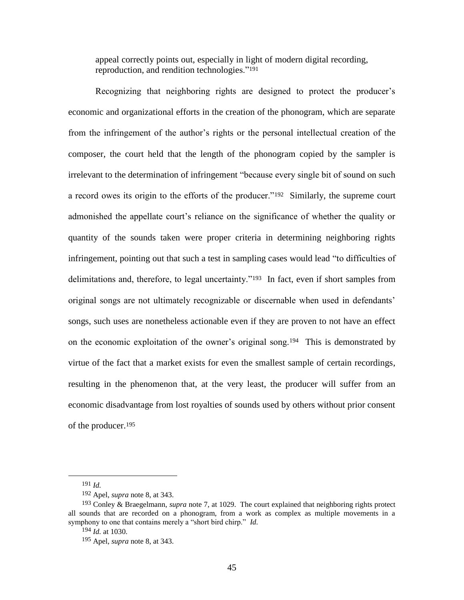appeal correctly points out, especially in light of modern digital recording, reproduction, and rendition technologies."<sup>191</sup>

Recognizing that neighboring rights are designed to protect the producer's economic and organizational efforts in the creation of the phonogram, which are separate from the infringement of the author's rights or the personal intellectual creation of the composer, the court held that the length of the phonogram copied by the sampler is irrelevant to the determination of infringement "because every single bit of sound on such a record owes its origin to the efforts of the producer."<sup>192</sup> Similarly, the supreme court admonished the appellate court's reliance on the significance of whether the quality or quantity of the sounds taken were proper criteria in determining neighboring rights infringement, pointing out that such a test in sampling cases would lead "to difficulties of delimitations and, therefore, to legal uncertainty."<sup>193</sup> In fact, even if short samples from original songs are not ultimately recognizable or discernable when used in defendants' songs, such uses are nonetheless actionable even if they are proven to not have an effect on the economic exploitation of the owner's original song.194 This is demonstrated by virtue of the fact that a market exists for even the smallest sample of certain recordings, resulting in the phenomenon that, at the very least, the producer will suffer from an economic disadvantage from lost royalties of sounds used by others without prior consent of the producer.<sup>195</sup>

<sup>191</sup> *Id.* 

<sup>192</sup> Apel, *supra* note 8, at 343.

<sup>193</sup> Conley & Braegelmann, *supra* note 7, at 1029. The court explained that neighboring rights protect all sounds that are recorded on a phonogram, from a work as complex as multiple movements in a symphony to one that contains merely a "short bird chirp." *Id.* 

<sup>194</sup> *Id.* at 1030.

<sup>195</sup> Apel, *supra* note 8, at 343.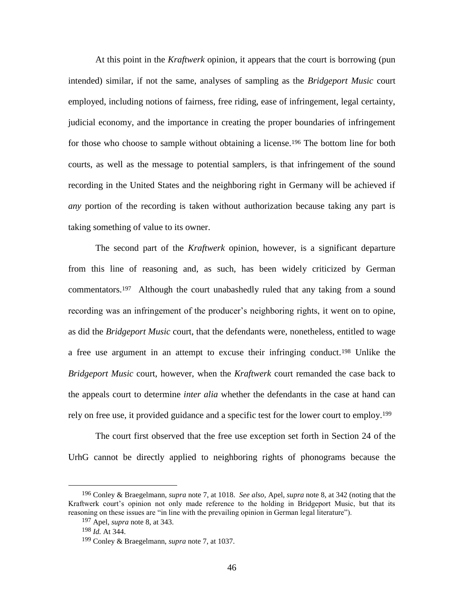At this point in the *Kraftwerk* opinion, it appears that the court is borrowing (pun intended) similar, if not the same, analyses of sampling as the *Bridgeport Music* court employed, including notions of fairness, free riding, ease of infringement, legal certainty, judicial economy, and the importance in creating the proper boundaries of infringement for those who choose to sample without obtaining a license.<sup>196</sup> The bottom line for both courts, as well as the message to potential samplers, is that infringement of the sound recording in the United States and the neighboring right in Germany will be achieved if *any* portion of the recording is taken without authorization because taking any part is taking something of value to its owner.

The second part of the *Kraftwerk* opinion, however, is a significant departure from this line of reasoning and, as such, has been widely criticized by German commentators. <sup>197</sup> Although the court unabashedly ruled that any taking from a sound recording was an infringement of the producer's neighboring rights, it went on to opine, as did the *Bridgeport Music* court, that the defendants were, nonetheless, entitled to wage a free use argument in an attempt to excuse their infringing conduct.<sup>198</sup> Unlike the *Bridgeport Music* court, however, when the *Kraftwerk* court remanded the case back to the appeals court to determine *inter alia* whether the defendants in the case at hand can rely on free use, it provided guidance and a specific test for the lower court to employ.<sup>199</sup>

The court first observed that the free use exception set forth in Section 24 of the UrhG cannot be directly applied to neighboring rights of phonograms because the

<sup>196</sup> Conley & Braegelmann, *supra* note 7, at 1018. *See also,* Apel, *supra* note 8, at 342 (noting that the Kraftwerk court's opinion not only made reference to the holding in Bridgeport Music, but that its reasoning on these issues are "in line with the prevailing opinion in German legal literature").

<sup>197</sup> Apel, *supra* note 8, at 343.

<sup>198</sup> *Id.* At 344.

<sup>199</sup> Conley & Braegelmann, *supra* note 7, at 1037.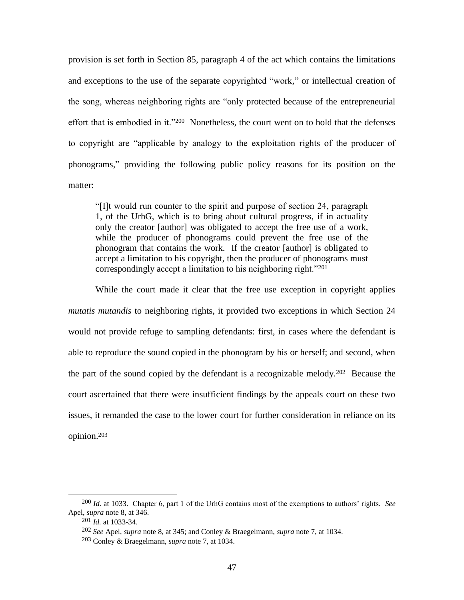provision is set forth in Section 85, paragraph 4 of the act which contains the limitations and exceptions to the use of the separate copyrighted "work," or intellectual creation of the song, whereas neighboring rights are "only protected because of the entrepreneurial effort that is embodied in it."200 Nonetheless, the court went on to hold that the defenses to copyright are "applicable by analogy to the exploitation rights of the producer of phonograms,‖ providing the following public policy reasons for its position on the matter:

―[I]t would run counter to the spirit and purpose of section 24, paragraph 1, of the UrhG, which is to bring about cultural progress, if in actuality only the creator [author] was obligated to accept the free use of a work, while the producer of phonograms could prevent the free use of the phonogram that contains the work. If the creator [author] is obligated to accept a limitation to his copyright, then the producer of phonograms must correspondingly accept a limitation to his neighboring right. $"201"$ 

While the court made it clear that the free use exception in copyright applies *mutatis mutandis* to neighboring rights, it provided two exceptions in which Section 24 would not provide refuge to sampling defendants: first, in cases where the defendant is able to reproduce the sound copied in the phonogram by his or herself; and second, when the part of the sound copied by the defendant is a recognizable melody.202 Because the court ascertained that there were insufficient findings by the appeals court on these two issues, it remanded the case to the lower court for further consideration in reliance on its opinion.<sup>203</sup>

<sup>200</sup> *Id.* at 1033. Chapter 6, part 1 of the UrhG contains most of the exemptions to authors' rights. *See*  Apel, *supra* note 8, at 346.

<sup>201</sup> *Id.* at 1033-34.

<sup>202</sup> *See* Apel, *supra* note 8, at 345; and Conley & Braegelmann, *supra* note 7, at 1034.

<sup>203</sup> Conley & Braegelmann, *supra* note 7, at 1034.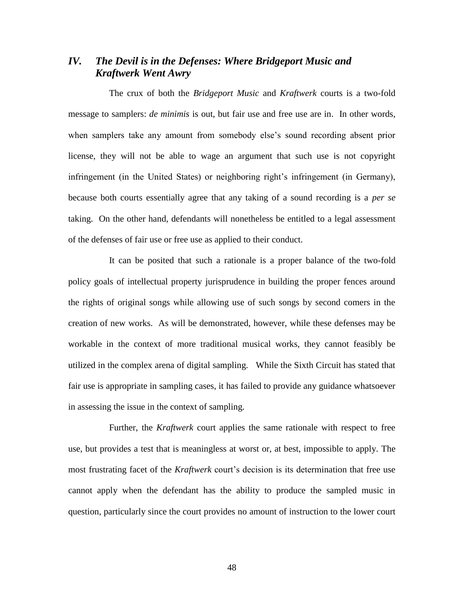# <span id="page-47-0"></span>*IV. The Devil is in the Defenses: Where Bridgeport Music and Kraftwerk Went Awry*

The crux of both the *Bridgeport Music* and *Kraftwerk* courts is a two-fold message to samplers: *de minimis* is out, but fair use and free use are in. In other words, when samplers take any amount from somebody else's sound recording absent prior license, they will not be able to wage an argument that such use is not copyright infringement (in the United States) or neighboring right's infringement (in Germany), because both courts essentially agree that any taking of a sound recording is a *per se*  taking. On the other hand, defendants will nonetheless be entitled to a legal assessment of the defenses of fair use or free use as applied to their conduct.

It can be posited that such a rationale is a proper balance of the two-fold policy goals of intellectual property jurisprudence in building the proper fences around the rights of original songs while allowing use of such songs by second comers in the creation of new works. As will be demonstrated, however, while these defenses may be workable in the context of more traditional musical works, they cannot feasibly be utilized in the complex arena of digital sampling. While the Sixth Circuit has stated that fair use is appropriate in sampling cases, it has failed to provide any guidance whatsoever in assessing the issue in the context of sampling.

Further, the *Kraftwerk* court applies the same rationale with respect to free use, but provides a test that is meaningless at worst or, at best, impossible to apply. The most frustrating facet of the *Kraftwerk* court's decision is its determination that free use cannot apply when the defendant has the ability to produce the sampled music in question, particularly since the court provides no amount of instruction to the lower court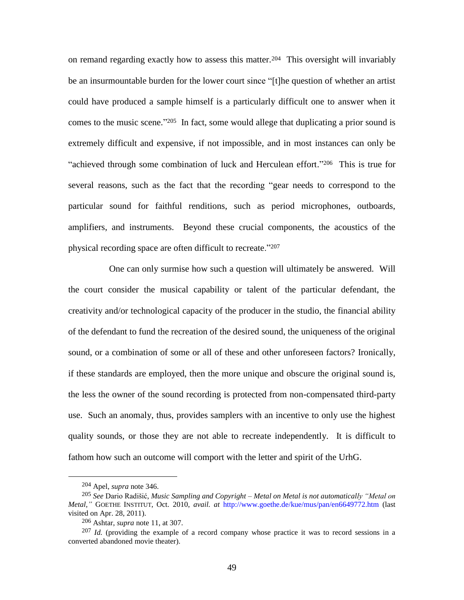on remand regarding exactly how to assess this matter.<sup>204</sup> This oversight will invariably be an insurmountable burden for the lower court since "[t]he question of whether an artist could have produced a sample himself is a particularly difficult one to answer when it comes to the music scene."205 In fact, some would allege that duplicating a prior sound is extremely difficult and expensive, if not impossible, and in most instances can only be "achieved through some combination of luck and Herculean effort."<sup>206</sup> This is true for several reasons, such as the fact that the recording "gear needs to correspond to the particular sound for faithful renditions, such as period microphones, outboards, amplifiers, and instruments. Beyond these crucial components, the acoustics of the physical recording space are often difficult to recreate."207

One can only surmise how such a question will ultimately be answered. Will the court consider the musical capability or talent of the particular defendant, the creativity and/or technological capacity of the producer in the studio, the financial ability of the defendant to fund the recreation of the desired sound, the uniqueness of the original sound, or a combination of some or all of these and other unforeseen factors? Ironically, if these standards are employed, then the more unique and obscure the original sound is, the less the owner of the sound recording is protected from non-compensated third-party use. Such an anomaly, thus, provides samplers with an incentive to only use the highest quality sounds, or those they are not able to recreate independently. It is difficult to fathom how such an outcome will comport with the letter and spirit of the UrhG.

<sup>204</sup> Apel, *supra* note 346.

<sup>205</sup> *See* Dario Radišić, *Music Sampling and Copyright – Metal on Metal is not automatically "Metal on Metal,"* GOETHE INSTITUT, Oct. 2010, *avail. at* <http://www.goethe.de/kue/mus/pan/en6649772.htm> (last visited on Apr. 28, 2011).

<sup>206</sup> Ashtar, *supra* note 11, at 307.

<sup>&</sup>lt;sup>207</sup> *Id.* (providing the example of a record company whose practice it was to record sessions in a converted abandoned movie theater).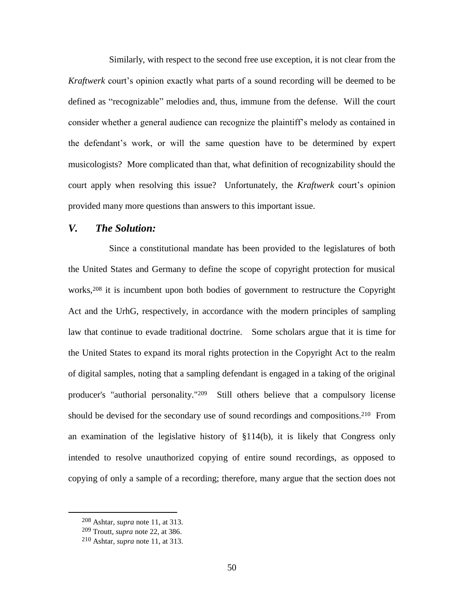Similarly, with respect to the second free use exception, it is not clear from the *Kraftwerk* court's opinion exactly what parts of a sound recording will be deemed to be defined as "recognizable" melodies and, thus, immune from the defense. Will the court consider whether a general audience can recognize the plaintiff's melody as contained in the defendant's work, or will the same question have to be determined by expert musicologists? More complicated than that, what definition of recognizability should the court apply when resolving this issue? Unfortunately, the *Kraftwerk* court's opinion provided many more questions than answers to this important issue.

## <span id="page-49-0"></span>*V. The Solution:*

Since a constitutional mandate has been provided to the legislatures of both the United States and Germany to define the scope of copyright protection for musical works,<sup>208</sup> it is incumbent upon both bodies of government to restructure the Copyright Act and the UrhG, respectively, in accordance with the modern principles of sampling law that continue to evade traditional doctrine. Some scholars argue that it is time for the United States to expand its moral rights protection in the Copyright Act to the realm of digital samples, noting that a sampling defendant is engaged in a taking of the original producer's "authorial personality."209 Still others believe that a compulsory license should be devised for the secondary use of sound recordings and compositions.<sup>210</sup> From an examination of the legislative history of §114(b), it is likely that Congress only intended to resolve unauthorized copying of entire sound recordings, as opposed to copying of only a sample of a recording; therefore, many argue that the section does not

<sup>208</sup> Ashtar, *supra* note 11, at 313.

<sup>209</sup> Troutt, *supra* note 22, at 386.

<sup>210</sup> Ashtar, *supra* note 11, at 313.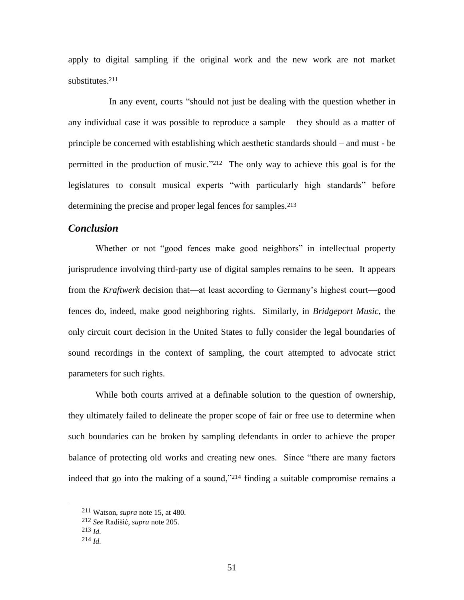apply to digital sampling if the original work and the new work are not market substitutes.<sup>211</sup>

In any event, courts "should not just be dealing with the question whether in any individual case it was possible to reproduce a sample – they should as a matter of principle be concerned with establishing which aesthetic standards should – and must - be permitted in the production of music." $2^{12}$  The only way to achieve this goal is for the legislatures to consult musical experts "with particularly high standards" before determining the precise and proper legal fences for samples.<sup>213</sup>

#### <span id="page-50-0"></span>*Conclusion*

Whether or not "good fences make good neighbors" in intellectual property jurisprudence involving third-party use of digital samples remains to be seen. It appears from the *Kraftwerk* decision that—at least according to Germany's highest court—good fences do, indeed, make good neighboring rights. Similarly, in *Bridgeport Music,* the only circuit court decision in the United States to fully consider the legal boundaries of sound recordings in the context of sampling, the court attempted to advocate strict parameters for such rights.

While both courts arrived at a definable solution to the question of ownership, they ultimately failed to delineate the proper scope of fair or free use to determine when such boundaries can be broken by sampling defendants in order to achieve the proper balance of protecting old works and creating new ones. Since "there are many factors" indeed that go into the making of a sound,"<sup>214</sup> finding a suitable compromise remains a

<sup>211</sup> Watson, *supra* note 15, at 480.

<sup>212</sup> *See* Radišić, *supra* note 205.

<sup>213</sup> *Id.*

<sup>214</sup> *Id.*